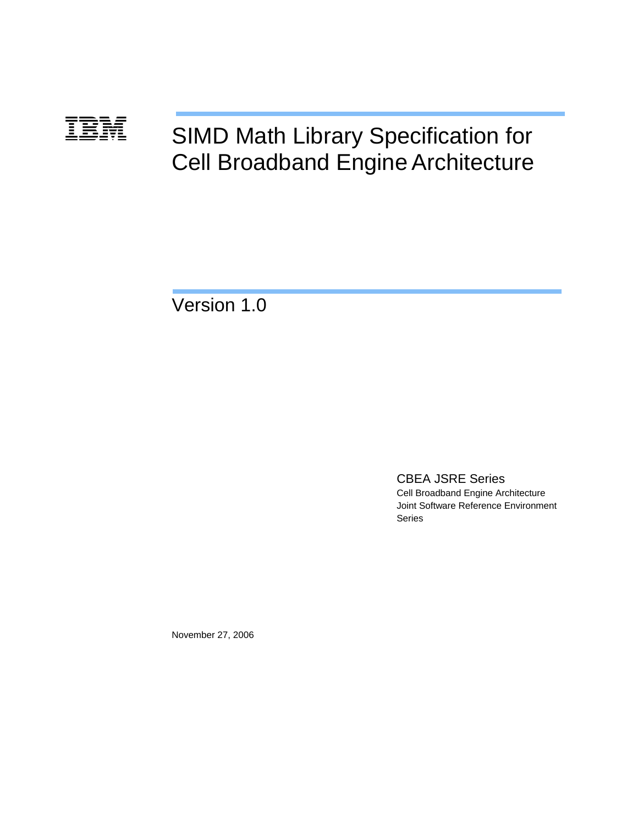# SIMD Math Library Specification for Cell Broadband Engine Architecture **TBM**

Version 1.0

CBEA JSRE Series Cell Broadband Engine Architecture Joint Software Reference Environment Series

November 27, 2006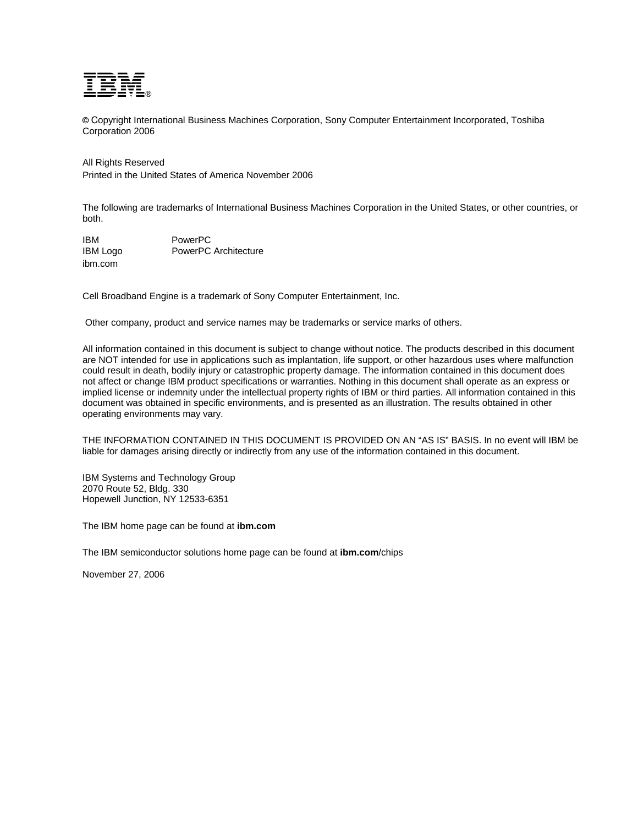

© Copyright International Business Machines Corporation, Sony Computer Entertainment Incorporated, Toshiba Corporation 2006

# All Rights Reserved

Printed in the United States of America November 2006

The following are trademarks of International Business Machines Corporation in the United States, or other countries, or both.

IBM PowerPC IBM Logo PowerPC Architecture ibm.com

Cell Broadband Engine is a trademark of Sony Computer Entertainment, Inc.

Other company, product and service names may be trademarks or service marks of others.

All information contained in this document is subject to change without notice. The products described in this document are NOT intended for use in applications such as implantation, life support, or other hazardous uses where malfunction could result in death, bodily injury or catastrophic property damage. The information contained in this document does not affect or change IBM product specifications or warranties. Nothing in this document shall operate as an express or implied license or indemnity under the intellectual property rights of IBM or third parties. All information contained in this document was obtained in specific environments, and is presented as an illustration. The results obtained in other operating environments may vary.

THE INFORMATION CONTAINED IN THIS DOCUMENT IS PROVIDED ON AN "AS IS" BASIS. In no event will IBM be liable for damages arising directly or indirectly from any use of the information contained in this document.

IBM Systems and Technology Group 2070 Route 52, Bldg. 330 Hopewell Junction, NY 12533-6351

The IBM home page can be found at **ibm.com**

The IBM semiconductor solutions home page can be found at **ibm.com**/chips

November 27, 2006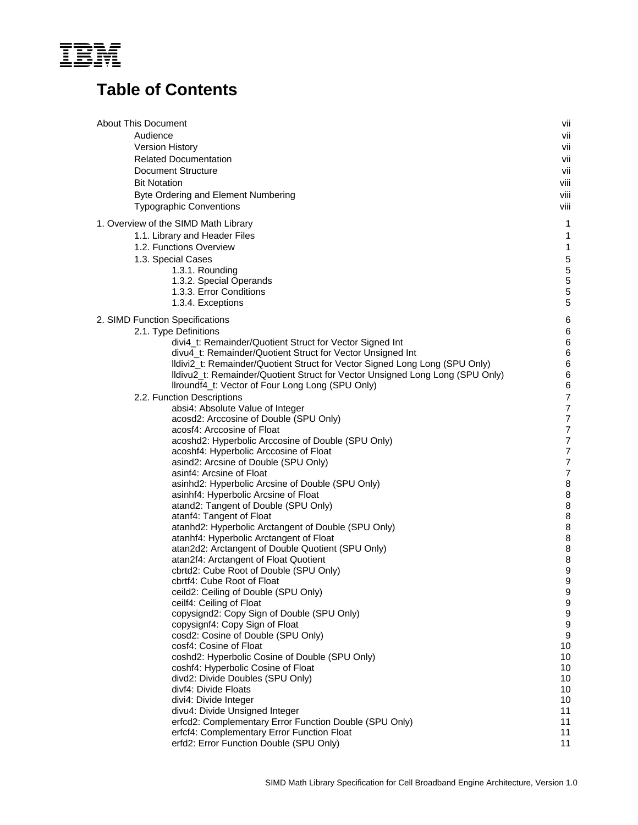

# **Table of Contents**

| <b>About This Document</b>                                                    | vii  |
|-------------------------------------------------------------------------------|------|
| Audience                                                                      | vii  |
| Version History                                                               | vii  |
| <b>Related Documentation</b>                                                  | vii  |
| <b>Document Structure</b>                                                     | vii  |
| <b>Bit Notation</b>                                                           | viii |
| Byte Ordering and Element Numbering                                           | viii |
| <b>Typographic Conventions</b>                                                | viii |
| 1. Overview of the SIMD Math Library                                          | 1    |
| 1.1. Library and Header Files                                                 | 1    |
| 1.2. Functions Overview                                                       | 1    |
| 1.3. Special Cases                                                            | 5    |
| 1.3.1. Rounding                                                               | 5    |
| 1.3.2. Special Operands                                                       | 5    |
| 1.3.3. Error Conditions                                                       | 5    |
| 1.3.4. Exceptions                                                             | 5    |
| 2. SIMD Function Specifications                                               | 6    |
| 2.1. Type Definitions                                                         | 6    |
| divi4_t: Remainder/Quotient Struct for Vector Signed Int                      | 6    |
| divu4_t: Remainder/Quotient Struct for Vector Unsigned Int                    | 6    |
| Ildivi2_t: Remainder/Quotient Struct for Vector Signed Long Long (SPU Only)   | 6    |
| Ildivu2_t: Remainder/Quotient Struct for Vector Unsigned Long Long (SPU Only) | 6    |
| Ilroundf4_t: Vector of Four Long Long (SPU Only)                              | 6    |
| 2.2. Function Descriptions                                                    | 7    |
| absi4: Absolute Value of Integer                                              | 7    |
| acosd2: Arccosine of Double (SPU Only)                                        | 7    |
| acosf4: Arccosine of Float                                                    | 7    |
| acoshd2: Hyperbolic Arccosine of Double (SPU Only)                            | 7    |
| acoshf4: Hyperbolic Arccosine of Float                                        | 7    |
| asind2: Arcsine of Double (SPU Only)                                          | 7    |
| asinf4: Arcsine of Float                                                      | 7    |
| asinhd2: Hyperbolic Arcsine of Double (SPU Only)                              | 8    |
| asinhf4: Hyperbolic Arcsine of Float                                          | 8    |
| atand2: Tangent of Double (SPU Only)                                          | 8    |
| atanf4: Tangent of Float                                                      | 8    |
| atanhd2: Hyperbolic Arctangent of Double (SPU Only)                           | 8    |
| atanhf4: Hyperbolic Arctangent of Float                                       | 8    |
| atan2d2: Arctangent of Double Quotient (SPU Only)                             | 8    |
| atan2f4: Arctangent of Float Quotient                                         | 8    |
| cbrtd2: Cube Root of Double (SPU Only)                                        | 9    |
| cbrtf4: Cube Root of Float                                                    | 9    |
| ceild2: Ceiling of Double (SPU Only)                                          | 9    |
| ceilf4: Ceiling of Float                                                      | 9    |
| copysignd2: Copy Sign of Double (SPU Only)                                    | 9    |
| copysignf4: Copy Sign of Float                                                | 9    |
| cosd2: Cosine of Double (SPU Only)                                            | 9    |
| cosf4: Cosine of Float                                                        | 10   |
| coshd2: Hyperbolic Cosine of Double (SPU Only)                                | 10   |
| coshf4: Hyperbolic Cosine of Float                                            | 10   |
| divd2: Divide Doubles (SPU Only)                                              | 10   |
| divf4: Divide Floats                                                          | 10   |
| divi4: Divide Integer                                                         | 10   |
| divu4: Divide Unsigned Integer                                                | 11   |
| erfcd2: Complementary Error Function Double (SPU Only)                        | 11   |
| erfcf4: Complementary Error Function Float                                    | 11   |
| erfd2: Error Function Double (SPU Only)                                       | 11   |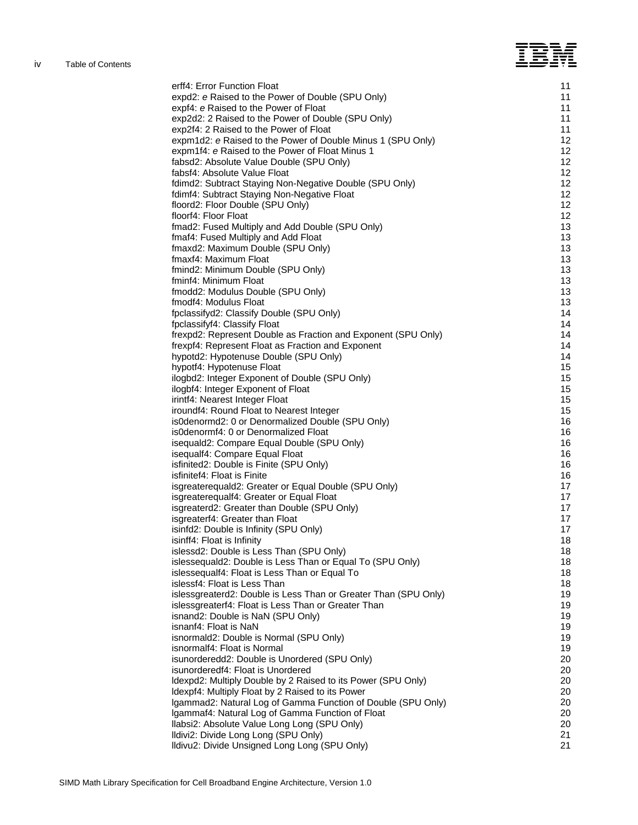# ī

| erff4: Error Function Float                                               | 11       |
|---------------------------------------------------------------------------|----------|
| expd2: e Raised to the Power of Double (SPU Only)                         | 11       |
| expf4: e Raised to the Power of Float                                     | 11       |
| exp2d2: 2 Raised to the Power of Double (SPU Only)                        | 11       |
| exp2f4: 2 Raised to the Power of Float                                    | 11       |
| expm1d2: e Raised to the Power of Double Minus 1 (SPU Only)               | 12       |
| expm1f4: e Raised to the Power of Float Minus 1                           | 12       |
| fabsd2: Absolute Value Double (SPU Only)                                  | 12       |
| fabsf4: Absolute Value Float                                              | 12       |
| fdimd2: Subtract Staying Non-Negative Double (SPU Only)                   | 12       |
| fdimf4: Subtract Staying Non-Negative Float                               | 12       |
| floord2: Floor Double (SPU Only)                                          | 12       |
| floorf4: Floor Float                                                      | 12       |
| fmad2: Fused Multiply and Add Double (SPU Only)                           | 13       |
| fmaf4: Fused Multiply and Add Float                                       | 13       |
| fmaxd2: Maximum Double (SPU Only)                                         | 13       |
| fmaxf4: Maximum Float                                                     | 13       |
| fmind2: Minimum Double (SPU Only)                                         | 13       |
| fminf4: Minimum Float                                                     | 13       |
| fmodd2: Modulus Double (SPU Only)                                         | 13       |
| fmodf4: Modulus Float                                                     | 13       |
| fpclassifyd2: Classify Double (SPU Only)                                  | 14       |
| fpclassifyf4: Classify Float                                              | 14       |
| frexpd2: Represent Double as Fraction and Exponent (SPU Only)             | 14       |
| frexpf4: Represent Float as Fraction and Exponent                         | 14       |
| hypotd2: Hypotenuse Double (SPU Only)                                     | 14       |
| hypotf4: Hypotenuse Float                                                 | 15       |
| ilogbd2: Integer Exponent of Double (SPU Only)                            | 15       |
| ilogbf4: Integer Exponent of Float                                        | 15       |
| irintf4: Nearest Integer Float                                            | 15       |
| iroundf4: Round Float to Nearest Integer                                  | 15       |
| is0denormd2: 0 or Denormalized Double (SPU Only)                          | 16       |
| is0denormf4: 0 or Denormalized Float                                      | 16       |
| isequald2: Compare Equal Double (SPU Only)                                | 16       |
| isequalf4: Compare Equal Float<br>isfinited2: Double is Finite (SPU Only) | 16<br>16 |
| isfinitef4: Float is Finite                                               | 16       |
| isgreaterequald2: Greater or Equal Double (SPU Only)                      | 17       |
| isgreaterequalf4: Greater or Equal Float                                  | 17       |
| isgreaterd2: Greater than Double (SPU Only)                               | 17       |
| isgreaterf4: Greater than Float                                           | 17       |
| isinfd2: Double is Infinity (SPU Only)                                    | 17       |
| isinff4: Float is Infinity                                                | 18       |
| islessd2: Double is Less Than (SPU Only)                                  | 18       |
| islessequald2: Double is Less Than or Equal To (SPU Only)                 | 18       |
| islessequalf4: Float is Less Than or Equal To                             | 18       |
| islessf4: Float is Less Than                                              | 18       |
| islessgreaterd2: Double is Less Than or Greater Than (SPU Only)           | 19       |
| islessgreaterf4: Float is Less Than or Greater Than                       | 19       |
| isnand2: Double is NaN (SPU Only)                                         | 19       |
| isnanf4: Float is NaN                                                     | 19       |
| isnormald2: Double is Normal (SPU Only)                                   | 19       |
| isnormalf4: Float is Normal                                               | 19       |
| isunorderedd2: Double is Unordered (SPU Only)                             | 20       |
| isunorderedf4: Float is Unordered                                         | 20       |
| Idexpd2: Multiply Double by 2 Raised to its Power (SPU Only)              | 20       |
| Idexpf4: Multiply Float by 2 Raised to its Power                          | 20       |
| Igammad2: Natural Log of Gamma Function of Double (SPU Only)              | 20       |
| Igammaf4: Natural Log of Gamma Function of Float                          | 20       |
| Ilabsi2: Absolute Value Long Long (SPU Only)                              | 20       |
| Ildivi2: Divide Long Long (SPU Only)                                      | 21       |
| Ildivu2: Divide Unsigned Long Long (SPU Only)                             | 21       |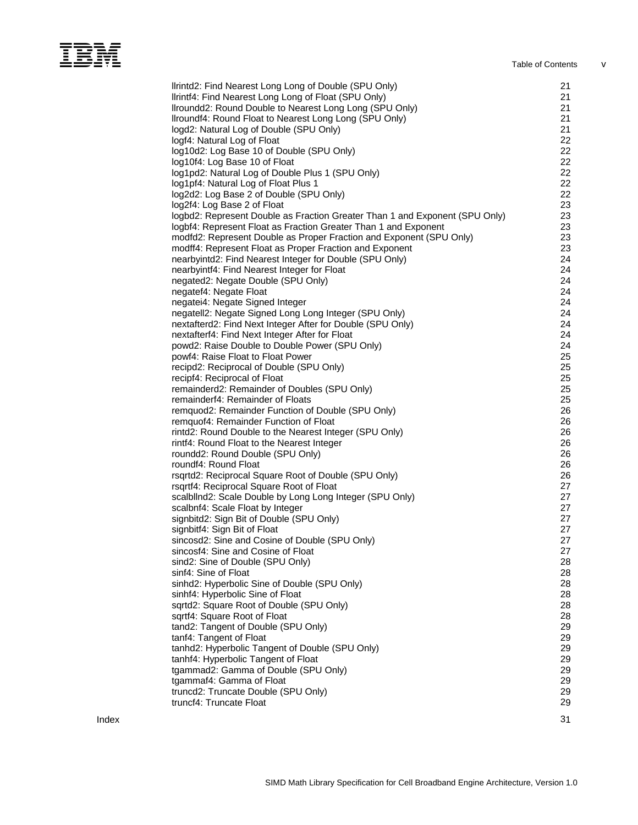# I Table of Contents vertex  $\mathbb{Z}$

|       | Ilrintd2: Find Nearest Long Long of Double (SPU Only)<br>Ilrintf4: Find Nearest Long Long of Float (SPU Only)<br>Ilroundd2: Round Double to Nearest Long Long (SPU Only)<br>Ilroundf4: Round Float to Nearest Long Long (SPU Only)<br>logd2: Natural Log of Double (SPU Only)<br>logf4: Natural Log of Float<br>log10d2: Log Base 10 of Double (SPU Only)<br>log10f4: Log Base 10 of Float<br>log1pd2: Natural Log of Double Plus 1 (SPU Only)<br>log1pf4: Natural Log of Float Plus 1<br>log2d2: Log Base 2 of Double (SPU Only)<br>log2f4: Log Base 2 of Float<br>logbd2: Represent Double as Fraction Greater Than 1 and Exponent (SPU Only) | 21<br>21<br>21<br>21<br>21<br>22<br>22<br>22<br>22<br>22<br>22<br>23<br>23 |
|-------|-------------------------------------------------------------------------------------------------------------------------------------------------------------------------------------------------------------------------------------------------------------------------------------------------------------------------------------------------------------------------------------------------------------------------------------------------------------------------------------------------------------------------------------------------------------------------------------------------------------------------------------------------|----------------------------------------------------------------------------|
|       | logbf4: Represent Float as Fraction Greater Than 1 and Exponent                                                                                                                                                                                                                                                                                                                                                                                                                                                                                                                                                                                 | 23<br>23                                                                   |
|       | modfd2: Represent Double as Proper Fraction and Exponent (SPU Only)<br>modff4: Represent Float as Proper Fraction and Exponent                                                                                                                                                                                                                                                                                                                                                                                                                                                                                                                  | 23                                                                         |
|       | nearbyintd2: Find Nearest Integer for Double (SPU Only)                                                                                                                                                                                                                                                                                                                                                                                                                                                                                                                                                                                         | 24                                                                         |
|       | nearbyintf4: Find Nearest Integer for Float                                                                                                                                                                                                                                                                                                                                                                                                                                                                                                                                                                                                     | 24                                                                         |
|       | negated2: Negate Double (SPU Only)                                                                                                                                                                                                                                                                                                                                                                                                                                                                                                                                                                                                              | 24                                                                         |
|       | negatef4: Negate Float                                                                                                                                                                                                                                                                                                                                                                                                                                                                                                                                                                                                                          | 24                                                                         |
|       | negatei4: Negate Signed Integer                                                                                                                                                                                                                                                                                                                                                                                                                                                                                                                                                                                                                 | 24                                                                         |
|       | negatell2: Negate Signed Long Long Integer (SPU Only)                                                                                                                                                                                                                                                                                                                                                                                                                                                                                                                                                                                           | 24                                                                         |
|       | nextafterd2: Find Next Integer After for Double (SPU Only)                                                                                                                                                                                                                                                                                                                                                                                                                                                                                                                                                                                      | 24                                                                         |
|       | nextafterf4: Find Next Integer After for Float<br>powd2: Raise Double to Double Power (SPU Only)                                                                                                                                                                                                                                                                                                                                                                                                                                                                                                                                                | 24<br>24                                                                   |
|       | powf4: Raise Float to Float Power                                                                                                                                                                                                                                                                                                                                                                                                                                                                                                                                                                                                               | 25                                                                         |
|       | recipd2: Reciprocal of Double (SPU Only)                                                                                                                                                                                                                                                                                                                                                                                                                                                                                                                                                                                                        | 25                                                                         |
|       | recipf4: Reciprocal of Float                                                                                                                                                                                                                                                                                                                                                                                                                                                                                                                                                                                                                    | 25                                                                         |
|       | remainderd2: Remainder of Doubles (SPU Only)                                                                                                                                                                                                                                                                                                                                                                                                                                                                                                                                                                                                    | 25                                                                         |
|       | remainderf4: Remainder of Floats                                                                                                                                                                                                                                                                                                                                                                                                                                                                                                                                                                                                                | 25                                                                         |
|       | remquod2: Remainder Function of Double (SPU Only)                                                                                                                                                                                                                                                                                                                                                                                                                                                                                                                                                                                               | 26                                                                         |
|       | remquof4: Remainder Function of Float                                                                                                                                                                                                                                                                                                                                                                                                                                                                                                                                                                                                           | 26<br>26                                                                   |
|       | rintd2: Round Double to the Nearest Integer (SPU Only)<br>rintf4: Round Float to the Nearest Integer                                                                                                                                                                                                                                                                                                                                                                                                                                                                                                                                            | 26                                                                         |
|       | roundd2: Round Double (SPU Only)                                                                                                                                                                                                                                                                                                                                                                                                                                                                                                                                                                                                                | 26                                                                         |
|       | roundf4: Round Float                                                                                                                                                                                                                                                                                                                                                                                                                                                                                                                                                                                                                            | 26                                                                         |
|       | rsqrtd2: Reciprocal Square Root of Double (SPU Only)                                                                                                                                                                                                                                                                                                                                                                                                                                                                                                                                                                                            | 26                                                                         |
|       | rsqrtf4: Reciprocal Square Root of Float                                                                                                                                                                                                                                                                                                                                                                                                                                                                                                                                                                                                        | 27                                                                         |
|       | scalbllnd2: Scale Double by Long Long Integer (SPU Only)                                                                                                                                                                                                                                                                                                                                                                                                                                                                                                                                                                                        | 27                                                                         |
|       | scalbnf4: Scale Float by Integer                                                                                                                                                                                                                                                                                                                                                                                                                                                                                                                                                                                                                | 27                                                                         |
|       | signbitd2: Sign Bit of Double (SPU Only)                                                                                                                                                                                                                                                                                                                                                                                                                                                                                                                                                                                                        | 27                                                                         |
|       | signbitf4: Sign Bit of Float<br>sincosd2: Sine and Cosine of Double (SPU Only)                                                                                                                                                                                                                                                                                                                                                                                                                                                                                                                                                                  | 27<br>27                                                                   |
|       | sincosf4: Sine and Cosine of Float                                                                                                                                                                                                                                                                                                                                                                                                                                                                                                                                                                                                              | 27                                                                         |
|       | sind2: Sine of Double (SPU Only)                                                                                                                                                                                                                                                                                                                                                                                                                                                                                                                                                                                                                | 28                                                                         |
|       | sinf4: Sine of Float                                                                                                                                                                                                                                                                                                                                                                                                                                                                                                                                                                                                                            | 28                                                                         |
|       | sinhd2: Hyperbolic Sine of Double (SPU Only)                                                                                                                                                                                                                                                                                                                                                                                                                                                                                                                                                                                                    | 28                                                                         |
|       | sinhf4: Hyperbolic Sine of Float                                                                                                                                                                                                                                                                                                                                                                                                                                                                                                                                                                                                                | 28                                                                         |
|       | sqrtd2: Square Root of Double (SPU Only)                                                                                                                                                                                                                                                                                                                                                                                                                                                                                                                                                                                                        | 28                                                                         |
|       | sqrtf4: Square Root of Float                                                                                                                                                                                                                                                                                                                                                                                                                                                                                                                                                                                                                    | 28                                                                         |
|       | tand2: Tangent of Double (SPU Only)<br>tanf4: Tangent of Float                                                                                                                                                                                                                                                                                                                                                                                                                                                                                                                                                                                  | 29<br>29                                                                   |
|       | tanhd2: Hyperbolic Tangent of Double (SPU Only)                                                                                                                                                                                                                                                                                                                                                                                                                                                                                                                                                                                                 | 29                                                                         |
|       | tanhf4: Hyperbolic Tangent of Float                                                                                                                                                                                                                                                                                                                                                                                                                                                                                                                                                                                                             | 29                                                                         |
|       | tgammad2: Gamma of Double (SPU Only)                                                                                                                                                                                                                                                                                                                                                                                                                                                                                                                                                                                                            | 29                                                                         |
|       | tgammaf4: Gamma of Float                                                                                                                                                                                                                                                                                                                                                                                                                                                                                                                                                                                                                        | 29                                                                         |
|       | truncd2: Truncate Double (SPU Only)                                                                                                                                                                                                                                                                                                                                                                                                                                                                                                                                                                                                             | 29                                                                         |
|       | truncf4: Truncate Float                                                                                                                                                                                                                                                                                                                                                                                                                                                                                                                                                                                                                         | 29                                                                         |
| Index |                                                                                                                                                                                                                                                                                                                                                                                                                                                                                                                                                                                                                                                 | 31                                                                         |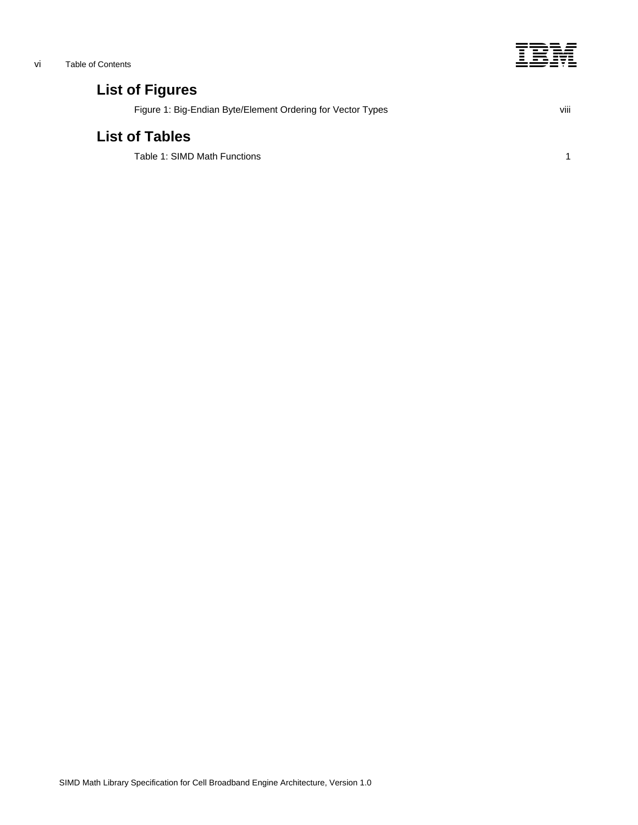

# **List of Figures**

[Figure 1: Big-Endian Byte/Element Ordering for Vector Types](#page-7-1) viii viii

# **List of Tables**

[Table 1: SIMD Math Functions](#page-8-1) 1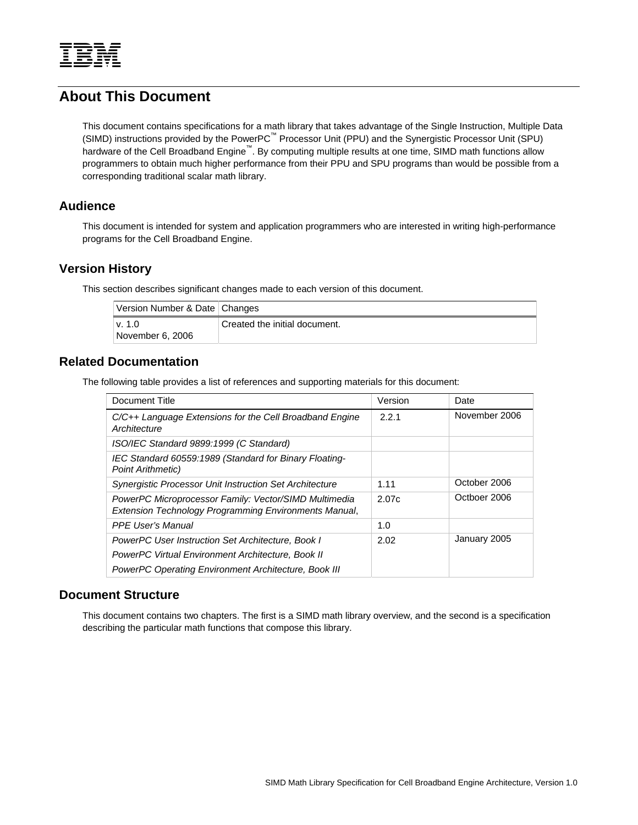<span id="page-6-0"></span>

# **About This Document**

This document contains specifications for a math library that takes advantage of the Single Instruction, Multiple Data (SIMD) instructions provided by the PowerPC™ Processor Unit (PPU) and the Synergistic Processor Unit (SPU) hardware of the Cell Broadband Engine™. By computing multiple results at one time, SIMD math functions allow programmers to obtain much higher performance from their PPU and SPU programs than would be possible from a corresponding traditional scalar math library.

# **Audience**

This document is intended for system and application programmers who are interested in writing high-performance programs for the Cell Broadband Engine.

# **Version History**

This section describes significant changes made to each version of this document.

| Version Number & Date Changes |                               |
|-------------------------------|-------------------------------|
| v. 1.0<br>November 6, 2006    | Created the initial document. |

# **Related Documentation**

The following table provides a list of references and supporting materials for this document:

| Document Title                                                                                                 | Version | Date          |
|----------------------------------------------------------------------------------------------------------------|---------|---------------|
| $C/C++$ Language Extensions for the Cell Broadband Engine<br>Architecture                                      | 2.2.1   | November 2006 |
| ISO/IEC Standard 9899:1999 (C Standard)                                                                        |         |               |
| IEC Standard 60559:1989 (Standard for Binary Floating-<br><b>Point Arithmetic)</b>                             |         |               |
| <b>Synergistic Processor Unit Instruction Set Architecture</b>                                                 | 1.11    | October 2006  |
| PowerPC Microprocessor Family: Vector/SIMD Multimedia<br>Extension Technology Programming Environments Manual, | 2.07c   | Octboer 2006  |
| <b>PPF User's Manual</b>                                                                                       | 1.0     |               |
| <b>PowerPC User Instruction Set Architecture, Book I</b>                                                       | 2.02    | January 2005  |
| PowerPC Virtual Environment Architecture, Book II                                                              |         |               |
| PowerPC Operating Environment Architecture, Book III                                                           |         |               |

# **Document Structure**

This document contains two chapters. The first is a SIMD math library overview, and the second is a specification describing the particular math functions that compose this library.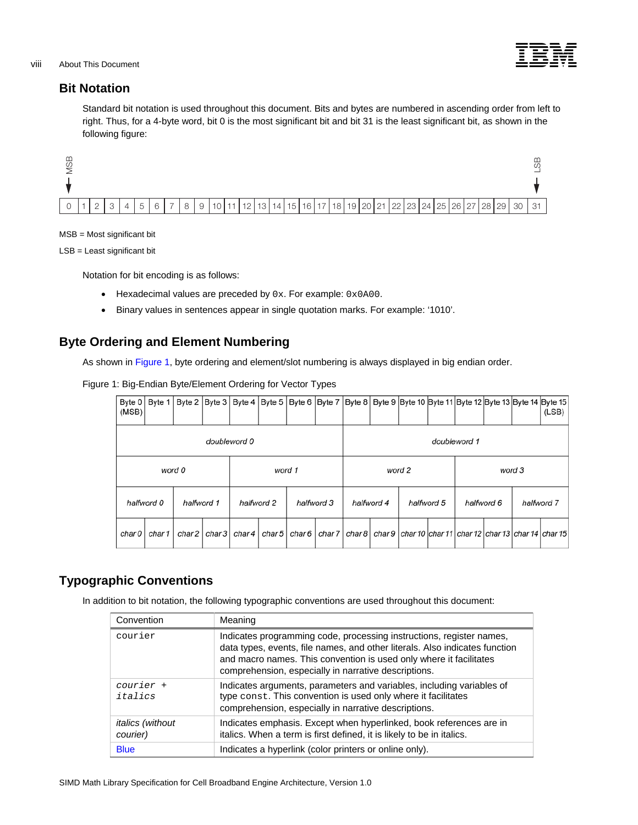

# <span id="page-7-0"></span>**Bit Notation**

Standard bit notation is used throughout this document. Bits and bytes are numbered in ascending order from left to right. Thus, for a 4-byte word, bit 0 is the most significant bit and bit 31 is the least significant bit, as shown in the following figure:



# MSB = Most significant bit

LSB = Least significant bit

Notation for bit encoding is as follows:

- Hexadecimal values are preceded by  $0x$ . For example:  $0x0A00$ .
- Binary values in sentences appear in single quotation marks. For example: '1010'.

# <span id="page-7-1"></span>**Byte Ordering and Element Numbering**

As shown in [Figure 1,](#page-7-1) byte ordering and element/slot numbering is always displayed in big endian order.

# Figure 1: Big-Endian Byte/Element Ordering for Vector Types

| Byte $0$<br>(MSB) | Byte $1$   | Byte 2     |       | Byte 3   Byte 4   Byte 5   Byte 6   Byte 7   Byte 8 |              |                          |            |  |            | Byte 9 Byte 10 Byte 11 Byte 12 Byte 13 Byte 14 Byte 15                               |  |            |        | (LSB)      |
|-------------------|------------|------------|-------|-----------------------------------------------------|--------------|--------------------------|------------|--|------------|--------------------------------------------------------------------------------------|--|------------|--------|------------|
| doubleword 0      |            |            |       |                                                     | doubleword 1 |                          |            |  |            |                                                                                      |  |            |        |            |
|                   |            | word 0     |       |                                                     | word 1       |                          |            |  |            | word 2                                                                               |  |            | word 3 |            |
|                   | halfword 0 | halfword 1 |       | halfword 2                                          |              |                          | halfword 3 |  | halfword 4 | halfword 5                                                                           |  | halfword 6 |        | halfword 7 |
| char 0            | char 1     | char 2     | char3 |                                                     |              | char 4   char 5   char 6 |            |  |            | char 7   char 8   char 9   char 10   char 11   char 12   char 13   char 14   char 15 |  |            |        |            |

# **Typographic Conventions**

In addition to bit notation, the following typographic conventions are used throughout this document:

| Convention                          | Meaning                                                                                                                                                                                                                                                                           |
|-------------------------------------|-----------------------------------------------------------------------------------------------------------------------------------------------------------------------------------------------------------------------------------------------------------------------------------|
| courier                             | Indicates programming code, processing instructions, register names,<br>data types, events, file names, and other literals. Also indicates function<br>and macro names. This convention is used only where it facilitates<br>comprehension, especially in narrative descriptions. |
| courier +<br>italics                | Indicates arguments, parameters and variables, including variables of<br>type const. This convention is used only where it facilitates<br>comprehension, especially in narrative descriptions.                                                                                    |
| <i>italics (without</i><br>courier) | Indicates emphasis. Except when hyperlinked, book references are in<br>italics. When a term is first defined, it is likely to be in italics.                                                                                                                                      |
| <b>Blue</b>                         | Indicates a hyperlink (color printers or online only).                                                                                                                                                                                                                            |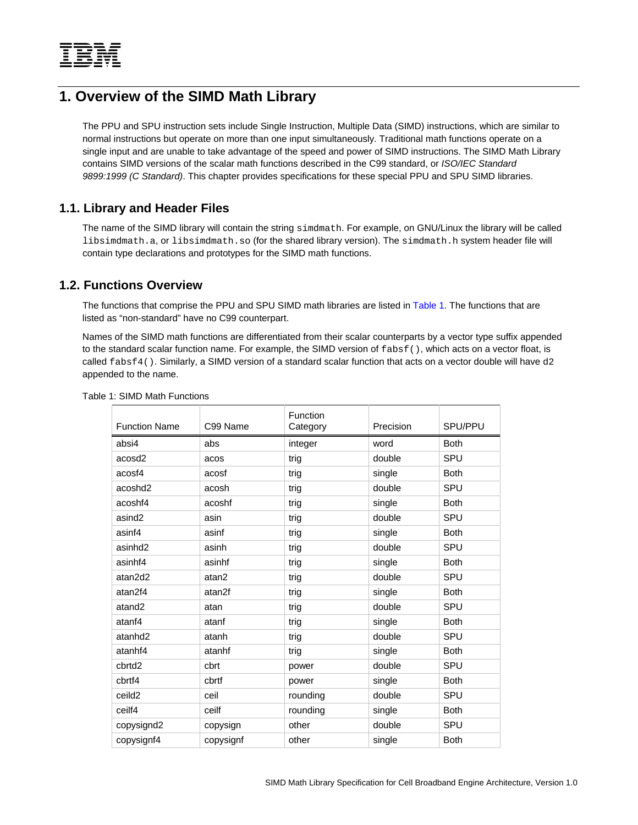<span id="page-8-0"></span>

# **1. Overview of the SIMD Math Library**

The PPU and SPU instruction sets include Single Instruction, Multiple Data (SIMD) instructions, which are similar to normal instructions but operate on more than one input simultaneously. Traditional math functions operate on a single input and are unable to take advantage of the speed and power of SIMD instructions. The SIMD Math Library contains SIMD versions of the scalar math functions described in the C99 standard, or *ISO/IEC Standard 9899:1999 (C Standard)*. This chapter provides specifications for these special PPU and SPU SIMD libraries.

# **1.1. Library and Header Files**

The name of the SIMD library will contain the string simdmath. For example, on GNU/Linux the library will be called libsimdmath.a, or libsimdmath.so (for the shared library version). The simdmath.h system header file will contain type declarations and prototypes for the SIMD math functions.

# **1.2. Functions Overview**

The functions that comprise the PPU and SPU SIMD math libraries are listed in [Table 1](#page-8-1). The functions that are listed as "non-standard" have no C99 counterpart.

Names of the SIMD math functions are differentiated from their scalar counterparts by a vector type suffix appended to the standard scalar function name. For example, the SIMD version of fabsf(), which acts on a vector float, is called  $fabsf4()$ . Similarly, a SIMD version of a standard scalar function that acts on a vector double will have d2 appended to the name.

| <b>Function Name</b> | C99 Name  | Function<br>Category | Precision | SPU/PPU     |
|----------------------|-----------|----------------------|-----------|-------------|
| absi4                | abs       | integer              | word      | <b>Both</b> |
| acosd <sub>2</sub>   | acos      | trig                 | double    | SPU         |
| acosf4               | acosf     | trig                 | single    | <b>Both</b> |
| acoshd2              | acosh     | trig                 | double    | SPU         |
| acoshf4              | acoshf    | trig                 | single    | <b>Both</b> |
| asind <sub>2</sub>   | asin      | trig                 | double    | SPU         |
| asinf4               | asinf     | trig                 | single    | <b>Both</b> |
| asinhd <sub>2</sub>  | asinh     | trig                 | double    | SPU         |
| asinhf4              | asinhf    | trig                 | single    | <b>Both</b> |
| atan2d2              | atan2     | trig                 | double    | SPU         |
| atan2f4              | atan2f    | trig                 | single    | <b>Both</b> |
| atand <sub>2</sub>   | atan      | trig                 | double    | SPU         |
| atanf4               | atanf     | trig                 | single    | <b>Both</b> |
| atanhd <sub>2</sub>  | atanh     | trig                 | double    | SPU         |
| atanhf4              | atanhf    | trig                 | single    | <b>Both</b> |
| cbrtd <sub>2</sub>   | cbrt      | power                | double    | SPU         |
| cbrtf4               | cbrtf     | power                | single    | <b>Both</b> |
| ceild <sub>2</sub>   | ceil      | rounding             | double    | SPU         |
| ceilf4               | ceilf     | rounding             | single    | <b>Both</b> |
| copysignd2           | copysign  | other                | double    | SPU         |
| copysignf4           | copysignf | other                | single    | <b>Both</b> |

<span id="page-8-1"></span>Table 1: SIMD Math Functions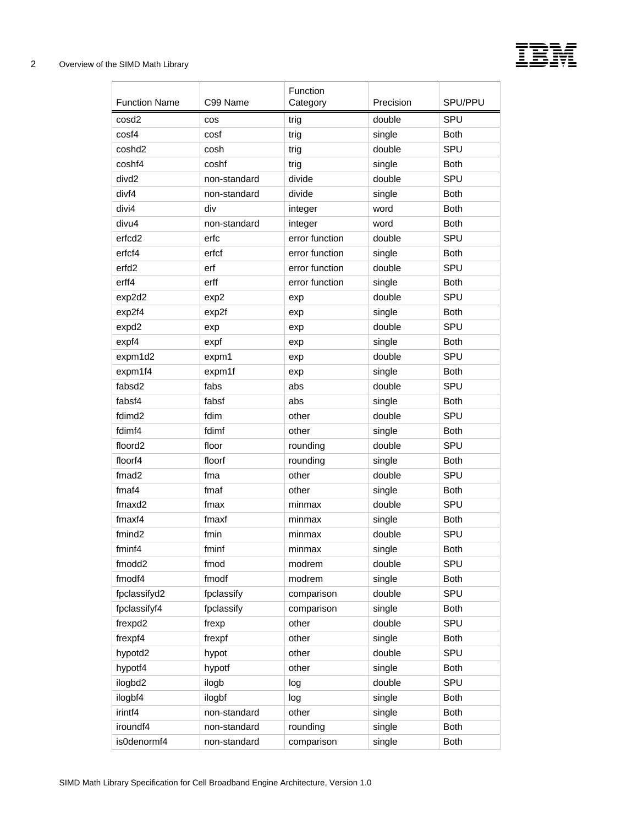

| <b>Function Name</b> | C99 Name     | Function<br>Category | Precision        | SPU/PPU     |
|----------------------|--------------|----------------------|------------------|-------------|
| cosd <sub>2</sub>    | cos          | trig                 | double           | SPU         |
| cosf4                | cosf         | trig                 | single           | <b>Both</b> |
| coshd <sub>2</sub>   | cosh         | trig                 | double           | SPU         |
| coshf4               | coshf        | trig                 | single           | <b>Both</b> |
| divd <sub>2</sub>    | non-standard | divide               | double           | SPU         |
| divf4                | non-standard | divide               | single           | <b>Both</b> |
| divi4                | div          | integer              | word             | <b>Both</b> |
| divu4                | non-standard | integer              | word             | <b>Both</b> |
| erfcd2               | erfc         | error function       | double           | SPU         |
| erfcf4               | erfcf        | error function       | single           | <b>Both</b> |
| erfd <sub>2</sub>    | erf          | error function       | double           | SPU         |
| erff4                | erff         | error function       | single           | <b>Both</b> |
| exp2d2               | exp2         | exp                  | double           | SPU         |
| exp2f4               | exp2f        | exp                  | single           | <b>Both</b> |
| expd2                | exp          | exp                  | double           | SPU         |
| expf4                | expf         | exp                  | single           | <b>Both</b> |
| expm1d2              | expm1        |                      | double           | SPU         |
| expm1f4              | expm1f       | exp                  | single           | <b>Both</b> |
| fabsd2               | fabs         | exp<br>abs           | double           | SPU         |
| fabsf4               | fabsf        | abs                  |                  | <b>Both</b> |
| fdimd <sub>2</sub>   | fdim         | other                | single<br>double | SPU         |
| fdimf4               | fdimf        | other                |                  | <b>Both</b> |
| floord <sub>2</sub>  | floor        |                      | single<br>double | SPU         |
| floorf4              | floorf       | rounding             |                  | <b>Both</b> |
| fmad <sub>2</sub>    |              | rounding<br>other    | single<br>double | SPU         |
|                      | fma          |                      |                  |             |
| fmaf4                | fmaf<br>fmax | other                | single           | <b>Both</b> |
| fmaxd2               |              | minmax               | double           | SPU         |
| fmaxf4               | fmaxf        | minmax               | single           | <b>Both</b> |
| fmind <sub>2</sub>   | fmin         | minmax               | double           | SPU         |
| fminf4               | fminf        | minmax               | single           | <b>Both</b> |
| fmodd2               | fmod         | modrem               | double           | SPU         |
| fmodf4               | fmodf        | modrem               | single           | <b>Both</b> |
| fpclassifyd2         | fpclassify   | comparison           | double           | SPU         |
| fpclassifyf4         | fpclassify   | comparison           | single           | <b>Both</b> |
| frexpd2              | frexp        | other                | double           | SPU         |
| frexpf4              | frexpf       | other                | single           | <b>Both</b> |
| hypotd2              | hypot        | other                | double           | SPU         |
| hypotf4              | hypotf       | other                | single           | <b>Both</b> |
| ilogbd2              | ilogb        | log                  | double           | SPU         |
| ilogbf4              | ilogbf       | log                  | single           | <b>Both</b> |
| irintf4              | non-standard | other                | single           | <b>Both</b> |
| iroundf4             | non-standard | rounding             | single           | <b>Both</b> |
| is0denormf4          | non-standard | comparison           | single           | <b>Both</b> |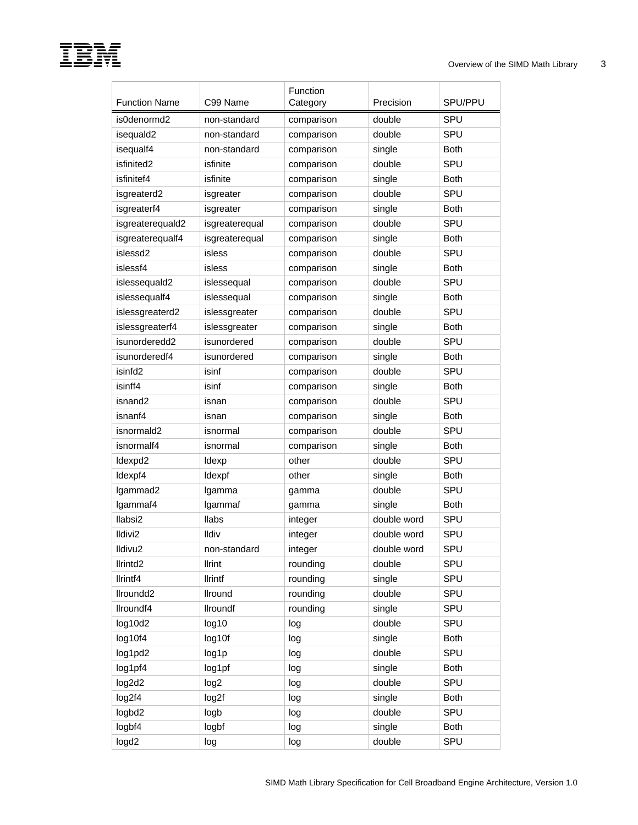# I

| <b>Function Name</b> | C99 Name         | Function<br>Category | Precision   | SPU/PPU     |
|----------------------|------------------|----------------------|-------------|-------------|
| is0denormd2          | non-standard     | comparison           | double      | <b>SPU</b>  |
| isequald2            | non-standard     | comparison           | double      | SPU         |
| isequalf4            | non-standard     | comparison           | single      | <b>Both</b> |
| isfinited2           | isfinite         | comparison           | double      | <b>SPU</b>  |
| isfinitef4           | isfinite         | comparison           | single      | <b>Both</b> |
| isgreaterd2          | isgreater        | comparison           | double      | SPU         |
| isgreaterf4          | isgreater        | comparison           | single      | <b>Both</b> |
| isgreaterequald2     | isgreaterequal   | comparison           | double      | SPU         |
| isgreaterequalf4     | isgreaterequal   | comparison           | single      | <b>Both</b> |
| islessd2             | isless           | comparison           | double      | SPU         |
| islessf4             | isless           | comparison           | single      | <b>Both</b> |
| islessequald2        | islessequal      | comparison           | double      | <b>SPU</b>  |
| islessequalf4        | islessequal      | comparison           | single      | <b>Both</b> |
| islessgreaterd2      | islessgreater    | comparison           | double      | <b>SPU</b>  |
| islessgreaterf4      | islessgreater    | comparison           | single      | <b>Both</b> |
| isunorderedd2        | isunordered      | comparison           | double      | SPU         |
| isunorderedf4        | isunordered      | comparison           | single      | <b>Both</b> |
| isinfd <sub>2</sub>  | isinf            | comparison           | double      | SPU         |
| isinff4              | isinf            | comparison           | single      | <b>Both</b> |
| isnand <sub>2</sub>  | isnan            | comparison           | double      | <b>SPU</b>  |
| isnanf4              | isnan            | comparison           | single      | <b>Both</b> |
| isnormald2           | isnormal         | comparison           | double      | <b>SPU</b>  |
| isnormalf4           | isnormal         | comparison           | single      | <b>Both</b> |
| Idexpd2              | Idexp            | other                | double      | SPU         |
| Idexpf4              | Idexpf           | other                | single      | <b>Both</b> |
| Igammad2             | Igamma           | gamma                | double      | SPU         |
| Igammaf4             | Igammaf          | gamma                | single      | <b>Both</b> |
| llabsi2              | <b>Ilabs</b>     | integer              | double word | SPU         |
| Ildivi2              | Ildiv            | integer              | double word | SPU         |
| Ildivu <sub>2</sub>  | non-standard     | integer              | double word | SPU         |
| llrintd <sub>2</sub> | <b>Ilrint</b>    | rounding             | double      | SPU         |
| Ilrintf4             | <b>Ilrintf</b>   | rounding             | single      | SPU         |
| llroundd2            | Ilround          | rounding             | double      | SPU         |
| llroundf4            | <b>Ilroundf</b>  | rounding             | single      | SPU         |
| log10d2              | log10            | log                  | double      | SPU         |
| log10f4              | log10f           | log                  | single      | Both        |
| log1pd2              | log1p            | log                  | double      | SPU         |
| log1pf4              | log1pf           | log                  | single      | Both        |
| log2d2               | log <sub>2</sub> | log                  | double      | SPU         |
| log2f4               | log2f            | log                  | single      | Both        |
| logbd2               | logb             | log                  | double      | SPU         |
| logbf4               | logbf            | log                  | single      | Both        |
| logd <sub>2</sub>    | log              | log                  | double      | SPU         |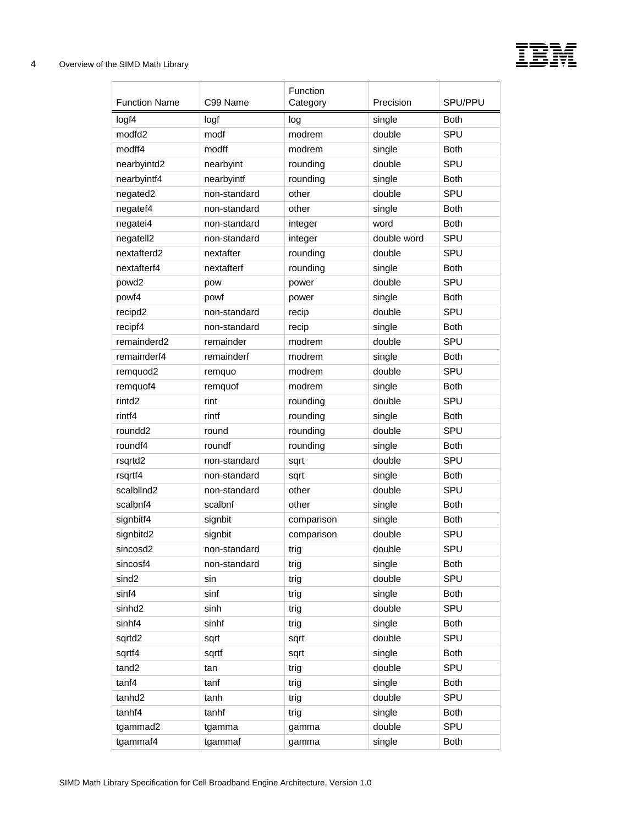

| <b>Function Name</b> | C99 Name     | Function<br>Category | Precision   | SPU/PPU     |
|----------------------|--------------|----------------------|-------------|-------------|
| logf4                | logf         | log                  | single      | <b>Both</b> |
| modfd <sub>2</sub>   | modf         | modrem               | double      | SPU         |
| modff4               | modff        | modrem               | single      | <b>Both</b> |
| nearbyintd2          | nearbyint    | rounding             | double      | SPU         |
| nearbyintf4          | nearbyintf   | rounding             | single      | <b>Both</b> |
| negated2             | non-standard | other                | double      | SPU         |
| negatef4             | non-standard | other                | single      | <b>Both</b> |
| negatei4             | non-standard | integer              | word        | <b>Both</b> |
| negatell2            | non-standard | integer              | double word | SPU         |
| nextafterd2          | nextafter    | rounding             | double      | SPU         |
| nextafterf4          | nextafterf   | rounding             | single      | <b>Both</b> |
| powd2                | pow          | power                | double      | SPU         |
| powf4                | powf         | power                | single      | <b>Both</b> |
| recipd2              | non-standard | recip                | double      | SPU         |
| recipf4              | non-standard | recip                | single      | <b>Both</b> |
| remainderd2          | remainder    | modrem               | double      | SPU         |
| remainderf4          | remainderf   | modrem               | single      | <b>Both</b> |
| remquod2             | remquo       | modrem               | double      | SPU         |
| remquof4             | remquof      | modrem               | single      | <b>Both</b> |
| rintd <sub>2</sub>   | rint         | rounding             | double      | SPU         |
| rintf4               | rintf        | rounding             | single      | <b>Both</b> |
| roundd <sub>2</sub>  | round        | rounding             | double      | SPU         |
| roundf4              | roundf       | rounding             | single      | <b>Both</b> |
| rsqrtd2              | non-standard | sqrt                 | double      | SPU         |
| rsqrtf4              | non-standard | sqrt                 | single      | <b>Both</b> |
| scalbllnd2           | non-standard | other                | double      | SPU         |
| scalbnf4             | scalbnf      | other                | single      | <b>Both</b> |
| signbitf4            | signbit      | comparison           | single      | <b>Both</b> |
| signbitd2            | signbit      | comparison           | double      | SPU         |
| sincosd2             | non-standard | trig                 | double      | SPU         |
| sincosf4             | non-standard | trig                 | single      | <b>Both</b> |
| sind2                | sin          | trig                 | double      | SPU         |
| sinf4                | sinf         | trig                 | single      | Both        |
| sinhd <sub>2</sub>   | sinh         | trig                 | double      | SPU         |
| sinhf4               | sinhf        | trig                 | single      | <b>Both</b> |
| sqrtd2               | sqrt         | sqrt                 | double      | SPU         |
| sqrtf4               | sqrtf        | sqrt                 | single      | Both        |
| tand <sub>2</sub>    | tan          | trig                 | double      | SPU         |
| tanf4                | tanf         | trig                 | single      | <b>Both</b> |
| tanhd <sub>2</sub>   | tanh         | trig                 | double      | SPU         |
| tanhf4               | tanhf        | trig                 | single      | Both        |
| tgammad2             | tgamma       | gamma                | double      | SPU         |
| tgammaf4             | tgammaf      | gamma                | single      | <b>Both</b> |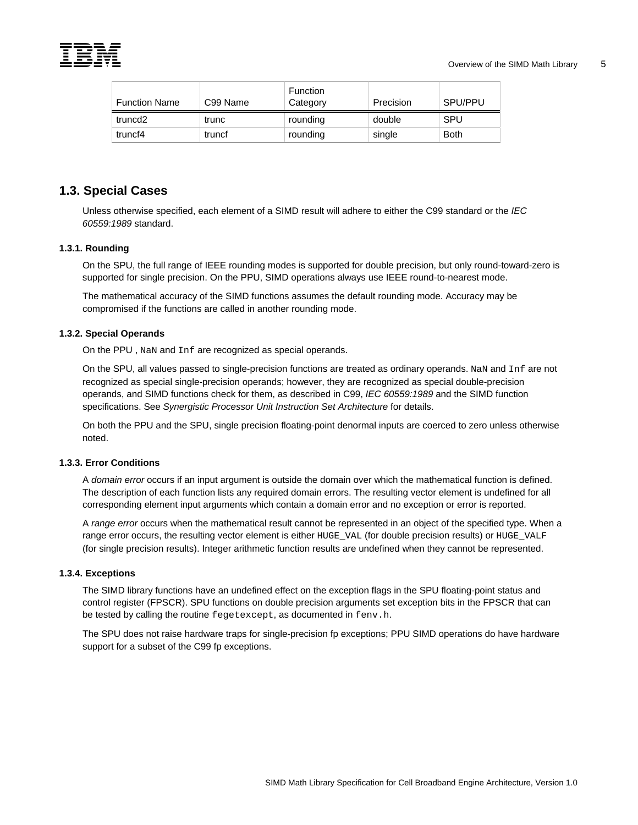<span id="page-12-0"></span>

| <b>Function Name</b> | C99 Name | Function<br>Category | Precision | SPU/PPU     |
|----------------------|----------|----------------------|-----------|-------------|
| truncd2              | trunc    | rounding             | double    | SPU         |
| truncf4              | truncf   | rounding             | single    | <b>Both</b> |

# **1.3. Special Cases**

Unless otherwise specified, each element of a SIMD result will adhere to either the C99 standard or the *IEC 60559:1989* standard.

# **1.3.1. Rounding**

On the SPU, the full range of IEEE rounding modes is supported for double precision, but only round-toward-zero is supported for single precision. On the PPU, SIMD operations always use IEEE round-to-nearest mode.

The mathematical accuracy of the SIMD functions assumes the default rounding mode. Accuracy may be compromised if the functions are called in another rounding mode.

# **1.3.2. Special Operands**

On the PPU , NaN and Inf are recognized as special operands.

On the SPU, all values passed to single-precision functions are treated as ordinary operands. NaN and Inf are not recognized as special single-precision operands; however, they are recognized as special double-precision operands, and SIMD functions check for them, as described in C99, *IEC 60559:1989* and the SIMD function specifications. See *Synergistic Processor Unit Instruction Set Architecture* for details.

On both the PPU and the SPU, single precision floating-point denormal inputs are coerced to zero unless otherwise noted.

# **1.3.3. Error Conditions**

A *domain error* occurs if an input argument is outside the domain over which the mathematical function is defined. The description of each function lists any required domain errors. The resulting vector element is undefined for all corresponding element input arguments which contain a domain error and no exception or error is reported.

A *range error* occurs when the mathematical result cannot be represented in an object of the specified type. When a range error occurs, the resulting vector element is either HUGE\_VAL (for double precision results) or HUGE\_VALF (for single precision results). Integer arithmetic function results are undefined when they cannot be represented.

# **1.3.4. Exceptions**

The SIMD library functions have an undefined effect on the exception flags in the SPU floating-point status and control register (FPSCR). SPU functions on double precision arguments set exception bits in the FPSCR that can be tested by calling the routine fegetexcept, as documented in fenv.h.

The SPU does not raise hardware traps for single-precision fp exceptions; PPU SIMD operations do have hardware support for a subset of the C99 fp exceptions.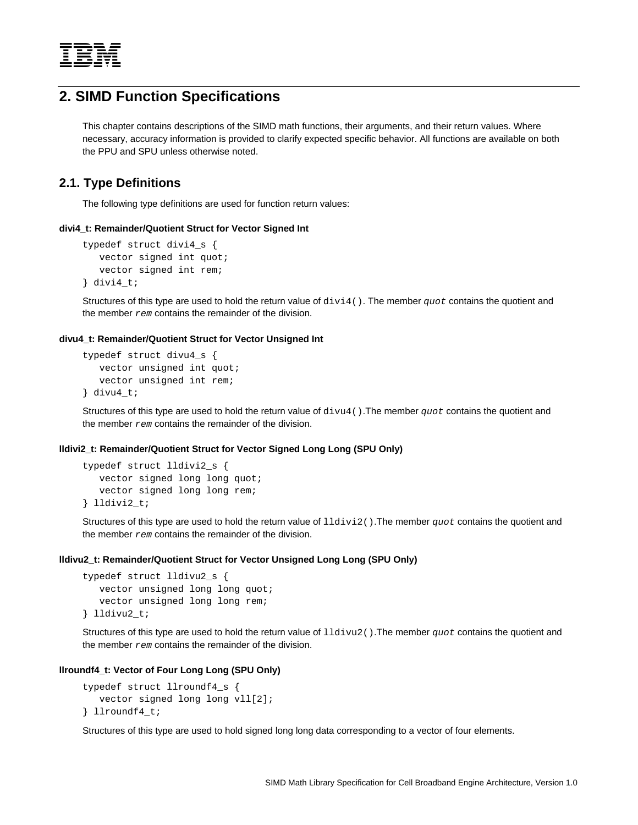<span id="page-13-0"></span>

# **2. SIMD Function Specifications**

This chapter contains descriptions of the SIMD math functions, their arguments, and their return values. Where necessary, accuracy information is provided to clarify expected specific behavior. All functions are available on both the PPU and SPU unless otherwise noted.

# **2.1. Type Definitions**

The following type definitions are used for function return values:

# **divi4\_t: Remainder/Quotient Struct for Vector Signed Int**

```
typedef struct divi4_s { 
   vector signed int quot; 
    vector signed int rem; 
} divi4_t;
```
Structures of this type are used to hold the return value of divi4(). The member *quot* contains the quotient and the member *rem* contains the remainder of the division.

## **divu4\_t: Remainder/Quotient Struct for Vector Unsigned Int**

```
typedef struct divu4_s { 
    vector unsigned int quot; 
    vector unsigned int rem; 
} divu4_t;
```
Structures of this type are used to hold the return value of divu4().The member *quot* contains the quotient and the member *rem* contains the remainder of the division.

# **lldivi2\_t: Remainder/Quotient Struct for Vector Signed Long Long (SPU Only)**

```
typedef struct lldivi2_s { 
    vector signed long long quot; 
    vector signed long long rem; 
} lldivi2_t;
```
Structures of this type are used to hold the return value of lldivi2().The member *quot* contains the quotient and the member *rem* contains the remainder of the division.

## **lldivu2\_t: Remainder/Quotient Struct for Vector Unsigned Long Long (SPU Only)**

```
typedef struct lldivu2_s { 
    vector unsigned long long quot; 
    vector unsigned long long rem; 
} lldivu2_t;
```
Structures of this type are used to hold the return value of lldivu2().The member *quot* contains the quotient and the member *rem* contains the remainder of the division.

# **llroundf4\_t: Vector of Four Long Long (SPU Only)**

```
typedef struct llroundf4_s { 
    vector signed long long vll[2]; 
} llroundf4_t;
```
Structures of this type are used to hold signed long long data corresponding to a vector of four elements.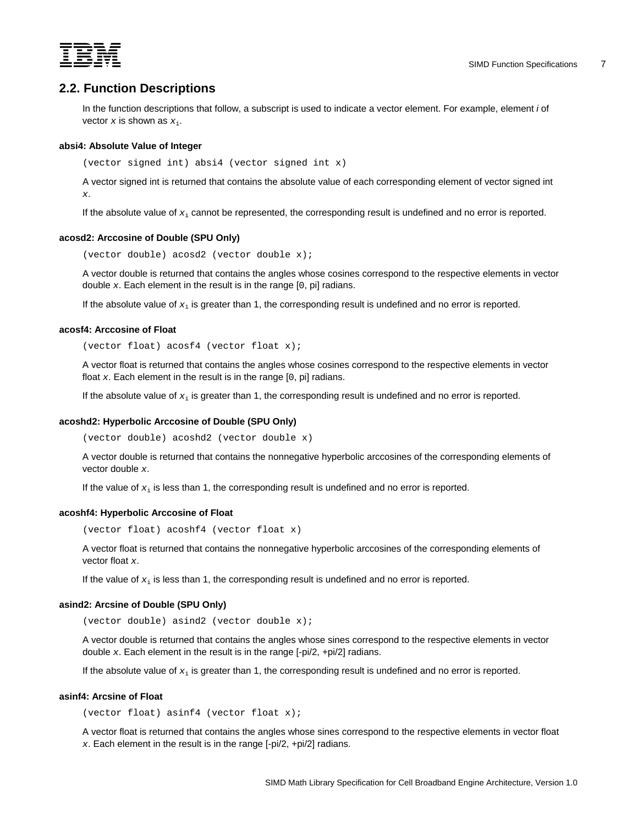<span id="page-14-0"></span>

# **2.2. Function Descriptions**

In the function descriptions that follow, a subscript is used to indicate a vector element. For example, element *i* of vector  $x$  is shown as  $x_i$ .

# **absi4: Absolute Value of Integer**

(vector signed int) absi4 (vector signed int x)

A vector signed int is returned that contains the absolute value of each corresponding element of vector signed int *x*.

If the absolute value of *x*i cannot be represented, the corresponding result is undefined and no error is reported.

#### **acosd2: Arccosine of Double (SPU Only)**

(vector double) acosd2 (vector double x);

A vector double is returned that contains the angles whose cosines correspond to the respective elements in vector double *x*. Each element in the result is in the range [0, pi] radians.

If the absolute value of *x*i is greater than 1, the corresponding result is undefined and no error is reported.

#### **acosf4: Arccosine of Float**

(vector float) acosf4 (vector float x);

A vector float is returned that contains the angles whose cosines correspond to the respective elements in vector float *x*. Each element in the result is in the range [0, pi] radians.

If the absolute value of *x*i is greater than 1, the corresponding result is undefined and no error is reported.

#### **acoshd2: Hyperbolic Arccosine of Double (SPU Only)**

(vector double) acoshd2 (vector double x)

A vector double is returned that contains the nonnegative hyperbolic arccosines of the corresponding elements of vector double *x*.

If the value of  $x_i$  is less than 1, the corresponding result is undefined and no error is reported.

#### **acoshf4: Hyperbolic Arccosine of Float**

(vector float) acoshf4 (vector float x)

A vector float is returned that contains the nonnegative hyperbolic arccosines of the corresponding elements of vector float *x*.

If the value of *x*i is less than 1, the corresponding result is undefined and no error is reported.

#### **asind2: Arcsine of Double (SPU Only)**

(vector double) asind2 (vector double x);

A vector double is returned that contains the angles whose sines correspond to the respective elements in vector double *x*. Each element in the result is in the range [-pi/2, +pi/2] radians.

If the absolute value of  $x_i$  is greater than 1, the corresponding result is undefined and no error is reported.

#### **asinf4: Arcsine of Float**

(vector float) asinf4 (vector float x);

A vector float is returned that contains the angles whose sines correspond to the respective elements in vector float *x*. Each element in the result is in the range [-pi/2, +pi/2] radians.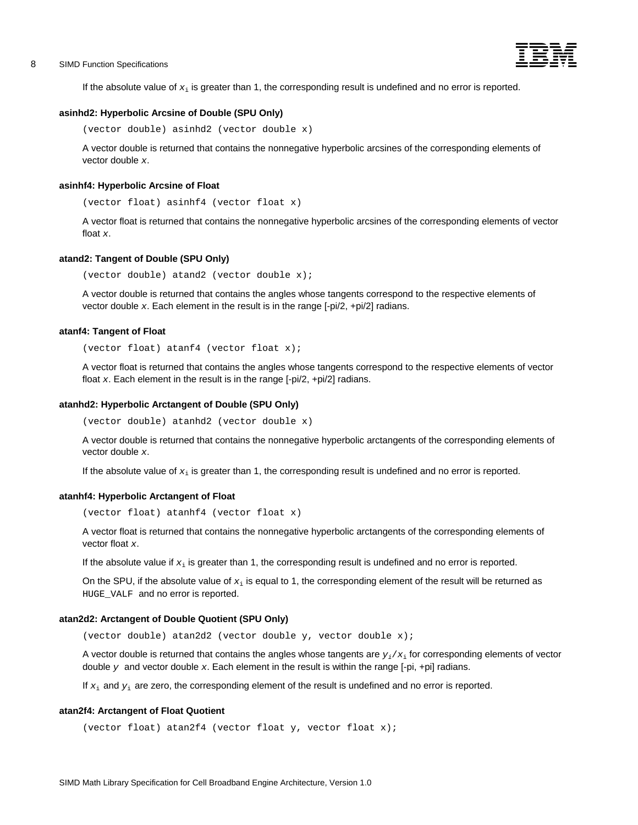

<span id="page-15-0"></span>If the absolute value of  $x_i$  is greater than 1, the corresponding result is undefined and no error is reported.

#### **asinhd2: Hyperbolic Arcsine of Double (SPU Only)**

```
(vector double) asinhd2 (vector double x)
```
A vector double is returned that contains the nonnegative hyperbolic arcsines of the corresponding elements of vector double *x*.

#### **asinhf4: Hyperbolic Arcsine of Float**

(vector float) asinhf4 (vector float x)

A vector float is returned that contains the nonnegative hyperbolic arcsines of the corresponding elements of vector float *x*.

#### **atand2: Tangent of Double (SPU Only)**

(vector double) atand2 (vector double x);

A vector double is returned that contains the angles whose tangents correspond to the respective elements of vector double *x*. Each element in the result is in the range [-pi/2, +pi/2] radians.

#### **atanf4: Tangent of Float**

(vector float) atanf4 (vector float x);

A vector float is returned that contains the angles whose tangents correspond to the respective elements of vector float *x*. Each element in the result is in the range [-pi/2, +pi/2] radians.

#### **atanhd2: Hyperbolic Arctangent of Double (SPU Only)**

(vector double) atanhd2 (vector double x)

A vector double is returned that contains the nonnegative hyperbolic arctangents of the corresponding elements of vector double *x*.

If the absolute value of  $x_i$  is greater than 1, the corresponding result is undefined and no error is reported.

# **atanhf4: Hyperbolic Arctangent of Float**

(vector float) atanhf4 (vector float x)

A vector float is returned that contains the nonnegative hyperbolic arctangents of the corresponding elements of vector float *x*.

If the absolute value if *x*i is greater than 1, the corresponding result is undefined and no error is reported.

On the SPU, if the absolute value of *x*i is equal to 1, the corresponding element of the result will be returned as HUGE\_VALF and no error is reported.

#### **atan2d2: Arctangent of Double Quotient (SPU Only)**

(vector double) atan2d2 (vector double y, vector double x);

A vector double is returned that contains the angles whose tangents are  $y_i/x_i$  for corresponding elements of vector double  $y$  and vector double  $x$ . Each element in the result is within the range  $[-pi]$ ,  $+pi]$  radians.

If *x*i and *y*i are zero, the corresponding element of the result is undefined and no error is reported.

### **atan2f4: Arctangent of Float Quotient**

```
(vector float) atan2f4 (vector float y, vector float x);
```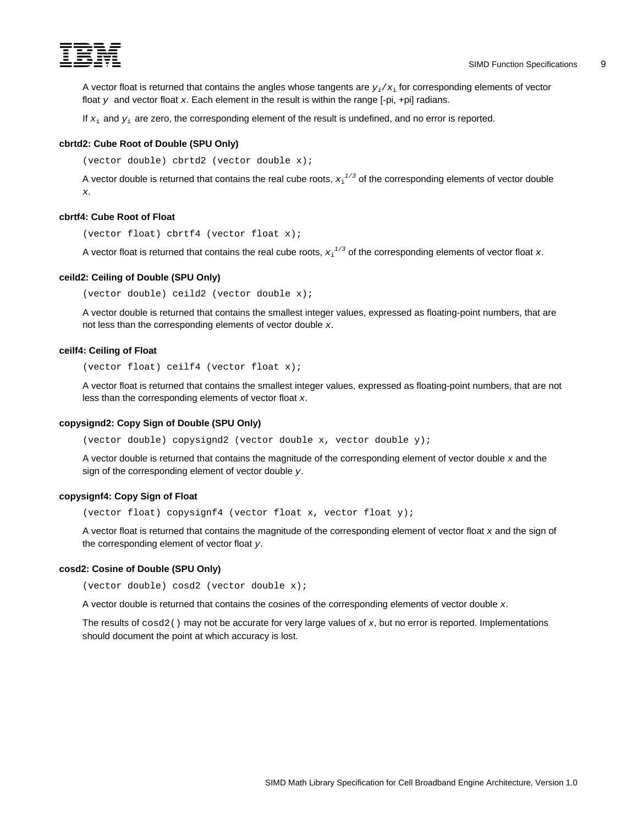<span id="page-16-0"></span>

A vector float is returned that contains the angles whose tangents are  $y_i/x_i$  for corresponding elements of vector float  *and vector float*  $*x*$ *. Each element in the result is within the range*  $[-pi, +pi]$  *radians.* 

If  $x_i$  and  $y_i$  are zero, the corresponding element of the result is undefined, and no error is reported.

## **cbrtd2: Cube Root of Double (SPU Only)**

(vector double) cbrtd2 (vector double x);

A vector double is returned that contains the real cube roots,  $x_1^{1/3}$  of the corresponding elements of vector double *x*.

#### **cbrtf4: Cube Root of Float**

(vector float) cbrtf4 (vector float x);

A vector float is returned that contains the real cube roots,  $x_1^{1/3}$  of the corresponding elements of vector float  $x$ .

# **ceild2: Ceiling of Double (SPU Only)**

(vector double) ceild2 (vector double x);

A vector double is returned that contains the smallest integer values, expressed as floating-point numbers, that are not less than the corresponding elements of vector double *x*.

# **ceilf4: Ceiling of Float**

(vector float) ceilf4 (vector float x);

A vector float is returned that contains the smallest integer values, expressed as floating-point numbers, that are not less than the corresponding elements of vector float *x*.

#### **copysignd2: Copy Sign of Double (SPU Only)**

(vector double) copysignd2 (vector double x, vector double y);

A vector double is returned that contains the magnitude of the corresponding element of vector double *x* and the sign of the corresponding element of vector double *y*.

# **copysignf4: Copy Sign of Float**

(vector float) copysignf4 (vector float x, vector float y);

A vector float is returned that contains the magnitude of the corresponding element of vector float *x* and the sign of the corresponding element of vector float *y*.

# **cosd2: Cosine of Double (SPU Only)**

(vector double) cosd2 (vector double x);

A vector double is returned that contains the cosines of the corresponding elements of vector double *x*.

The results of cosd2() may not be accurate for very large values of *x*, but no error is reported. Implementations should document the point at which accuracy is lost.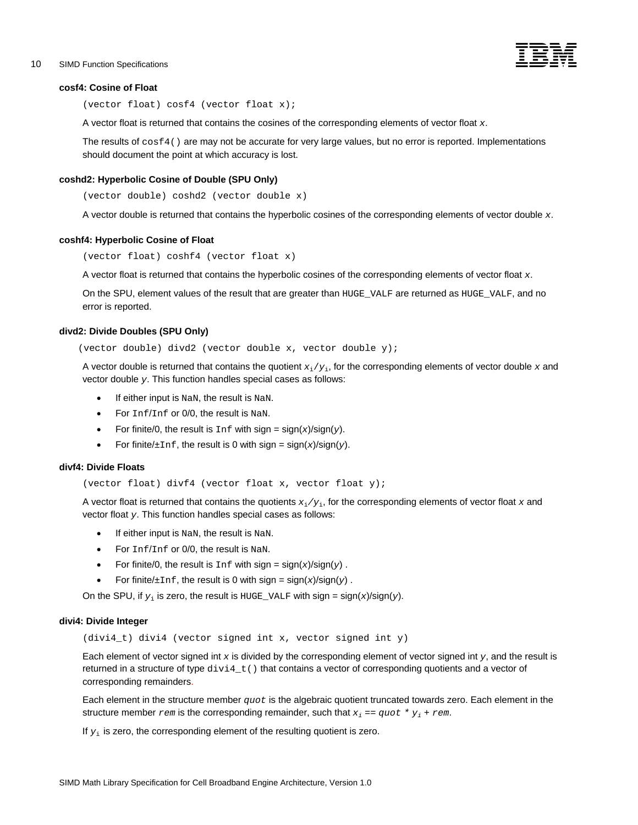# <span id="page-17-0"></span>10 SIMD Function Specifications -



#### **cosf4: Cosine of Float**

(vector float) cosf4 (vector float x);

A vector float is returned that contains the cosines of the corresponding elements of vector float *x*.

The results of cosf4() are may not be accurate for very large values, but no error is reported. Implementations should document the point at which accuracy is lost.

# **coshd2: Hyperbolic Cosine of Double (SPU Only)**

(vector double) coshd2 (vector double x)

A vector double is returned that contains the hyperbolic cosines of the corresponding elements of vector double *x*.

### **coshf4: Hyperbolic Cosine of Float**

(vector float) coshf4 (vector float x)

A vector float is returned that contains the hyperbolic cosines of the corresponding elements of vector float *x*.

On the SPU, element values of the result that are greater than HUGE\_VALF are returned as HUGE\_VALF, and no error is reported.

#### **divd2: Divide Doubles (SPU Only)**

(vector double) divd2 (vector double x, vector double y);

A vector double is returned that contains the quotient *x*i/*y*i, for the corresponding elements of vector double *x* and vector double *y*. This function handles special cases as follows:

- If either input is NaN, the result is NaN.
- For Inf/Inf or 0/0, the result is NaN.
- For finite/0, the result is  $Inf$  with sign =  $sign(x)/sign(y)$ .
- For finite/ $\pm$ Inf, the result is 0 with sign =  $sign(x)/sign(y)$ .

# **divf4: Divide Floats**

(vector float) divf4 (vector float x, vector float y);

A vector float is returned that contains the quotients *x*i*/y*i, for the corresponding elements of vector float *x* and vector float *y*. This function handles special cases as follows:

- If either input is NaN, the result is NaN.
- For  $Inf/Inf$  or 0/0, the result is NaN.
- For finite/0, the result is  $Inf$  with sign =  $sign(x)/sign(y)$ .
- For finite/ $\pm$ Inf, the result is 0 with sign = sign(x)/sign(y).

On the SPU, if  $y_i$  is zero, the result is  $H \cup G = \text{VALF}$  with sign = sign(x)/sign(y).

#### **divi4: Divide Integer**

 $(divi4_t)$  divi4 (vector signed int x, vector signed int y)

Each element of vector signed int *x* is divided by the corresponding element of vector signed int *y*, and the result is returned in a structure of type  $div4_t$  ) that contains a vector of corresponding quotients and a vector of corresponding remainders.

Each element in the structure member *quot* is the algebraic quotient truncated towards zero. Each element in the structure member *rem* is the corresponding remainder, such that  $x_i = q u \circ t * y_i + r e m$ .

If  $y_i$  is zero, the corresponding element of the resulting quotient is zero.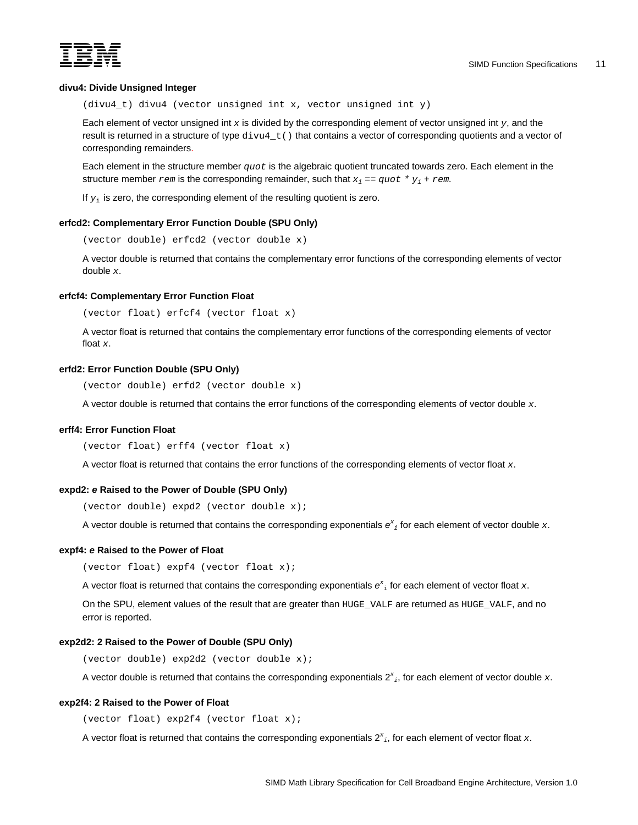<span id="page-18-0"></span>

# **divu4: Divide Unsigned Integer**

(divu4\_t) divu4 (vector unsigned int x, vector unsigned int y)

Each element of vector unsigned int *x* is divided by the corresponding element of vector unsigned int *y*, and the result is returned in a structure of type  $divu_4$   $t$  () that contains a vector of corresponding quotients and a vector of corresponding remainders.

Each element in the structure member *quot* is the algebraic quotient truncated towards zero. Each element in the structure member  $x$ em is the corresponding remainder, such that  $x_i = q u \circ t * y_i + r e m$ .

If  $y_i$  is zero, the corresponding element of the resulting quotient is zero.

# **erfcd2: Complementary Error Function Double (SPU Only)**

(vector double) erfcd2 (vector double x)

A vector double is returned that contains the complementary error functions of the corresponding elements of vector double *x*.

#### **erfcf4: Complementary Error Function Float**

(vector float) erfcf4 (vector float x)

A vector float is returned that contains the complementary error functions of the corresponding elements of vector float *x*.

# **erfd2: Error Function Double (SPU Only)**

(vector double) erfd2 (vector double x)

A vector double is returned that contains the error functions of the corresponding elements of vector double *x*.

# **erff4: Error Function Float**

(vector float) erff4 (vector float x)

A vector float is returned that contains the error functions of the corresponding elements of vector float *x*.

# **expd2:** *e* **Raised to the Power of Double (SPU Only)**

(vector double) expd2 (vector double x);

A vector double is returned that contains the corresponding exponentials *e<sup>x</sup> <sup>i</sup>* for each element of vector double *x*.

# **expf4:** *e* **Raised to the Power of Float**

(vector float) expf4 (vector float x);

A vector float is returned that contains the corresponding exponentials  $e^x$ <sub>i</sub> for each element of vector float x.

On the SPU, element values of the result that are greater than HUGE\_VALF are returned as HUGE\_VALF, and no error is reported.

# **exp2d2: 2 Raised to the Power of Double (SPU Only)**

(vector double) exp2d2 (vector double x);

A vector double is returned that contains the corresponding exponentials  $2^x{}_i$ , for each element of vector double  $x$ .

#### **exp2f4: 2 Raised to the Power of Float**

(vector float) exp2f4 (vector float x);

A vector float is returned that contains the corresponding exponentials  $2^x{}_i$ , for each element of vector float  $x$ .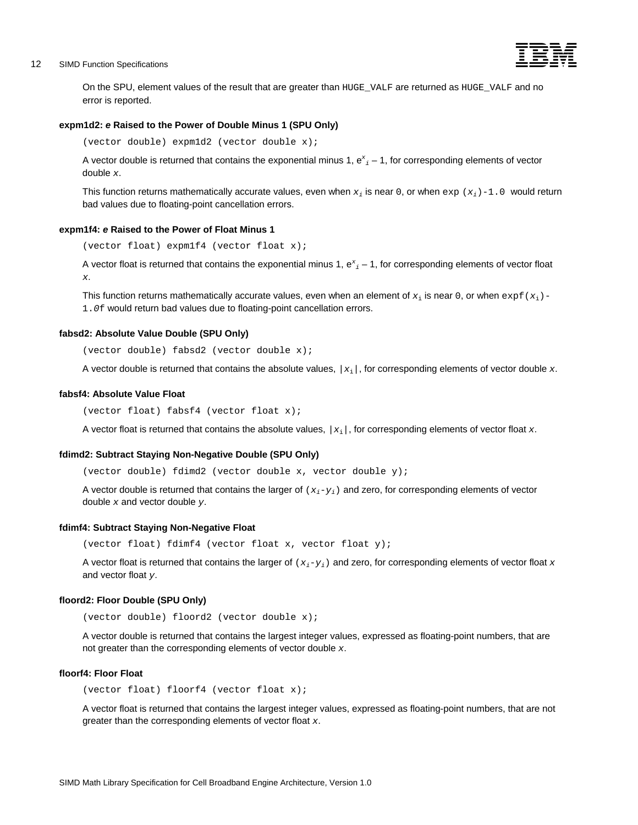# <span id="page-19-0"></span>12 SIMD Function Specifications -



On the SPU, element values of the result that are greater than HUGE\_VALF are returned as HUGE\_VALF and no error is reported.

# **expm1d2:** *e* **Raised to the Power of Double Minus 1 (SPU Only)**

(vector double) expm1d2 (vector double x);

A vector double is returned that contains the exponential minus 1, e<sup>x</sup><sub>i</sub> – 1, for corresponding elements of vector double *x*.

This function returns mathematically accurate values, even when  $x_i$  is near 0, or when  $\exp(x_i) - 1.0$  would return bad values due to floating-point cancellation errors.

## **expm1f4:** *e* **Raised to the Power of Float Minus 1**

(vector float) expm1f4 (vector float x);

A vector float is returned that contains the exponential minus 1,  $e^x{}_i$  – 1, for corresponding elements of vector float *x*.

This function returns mathematically accurate values, even when an element of  $x_i$  is near 0, or when  $\exp f(x_i)$  -1.*0*f would return bad values due to floating-point cancellation errors.

## **fabsd2: Absolute Value Double (SPU Only)**

(vector double) fabsd2 (vector double x);

A vector double is returned that contains the absolute values, *|x*i*|*, for corresponding elements of vector double *x*.

#### **fabsf4: Absolute Value Float**

(vector float) fabsf4 (vector float x);

A vector float is returned that contains the absolute values, *|x*i*|*, for corresponding elements of vector float *x*.

## **fdimd2: Subtract Staying Non-Negative Double (SPU Only)**

(vector double) fdimd2 (vector double x, vector double y);

A vector double is returned that contains the larger of (*xi*-*yi*) and zero, for corresponding elements of vector double *x* and vector double *y*.

#### **fdimf4: Subtract Staying Non-Negative Float**

(vector float) fdimf4 (vector float x, vector float y);

A vector float is returned that contains the larger of (*xi*-*yi*) and zero, for corresponding elements of vector float *x* and vector float *y*.

#### **floord2: Floor Double (SPU Only)**

(vector double) floord2 (vector double x);

A vector double is returned that contains the largest integer values, expressed as floating-point numbers, that are not greater than the corresponding elements of vector double *x*.

#### **floorf4: Floor Float**

(vector float) floorf4 (vector float x);

A vector float is returned that contains the largest integer values, expressed as floating-point numbers, that are not greater than the corresponding elements of vector float *x*.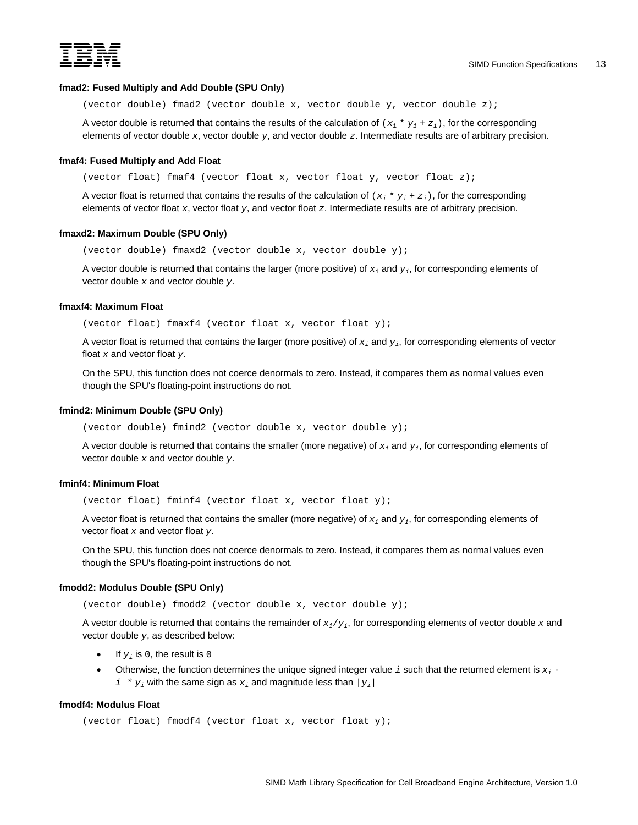<span id="page-20-0"></span>

# **fmad2: Fused Multiply and Add Double (SPU Only)**

(vector double) fmad2 (vector double x, vector double y, vector double z);

A vector double is returned that contains the results of the calculation of  $(x_i * y_j + z_j)$ , for the corresponding elements of vector double *x*, vector double *y*, and vector double *z*. Intermediate results are of arbitrary precision.

#### **fmaf4: Fused Multiply and Add Float**

(vector float) fmaf4 (vector float x, vector float y, vector float z);

A vector float is returned that contains the results of the calculation of  $(x_i * y_i + z_i)$ , for the corresponding elements of vector float *x*, vector float *y*, and vector float *z*. Intermediate results are of arbitrary precision.

# **fmaxd2: Maximum Double (SPU Only)**

(vector double) fmaxd2 (vector double x, vector double y);

A vector double is returned that contains the larger (more positive) of *x*i and *yi*, for corresponding elements of vector double *x* and vector double *y*.

# **fmaxf4: Maximum Float**

(vector float) fmaxf4 (vector float x, vector float y);

A vector float is returned that contains the larger (more positive) of *xi* and *yi*, for corresponding elements of vector float *x* and vector float *y*.

On the SPU, this function does not coerce denormals to zero. Instead, it compares them as normal values even though the SPU's floating-point instructions do not.

# **fmind2: Minimum Double (SPU Only)**

(vector double) fmind2 (vector double x, vector double y);

A vector double is returned that contains the smaller (more negative) of *xi* and *yi*, for corresponding elements of vector double *x* and vector double *y*.

#### **fminf4: Minimum Float**

(vector float) fminf4 (vector float x, vector float y);

A vector float is returned that contains the smaller (more negative) of *xi* and *yi*, for corresponding elements of vector float *x* and vector float *y*.

On the SPU, this function does not coerce denormals to zero. Instead, it compares them as normal values even though the SPU's floating-point instructions do not.

#### **fmodd2: Modulus Double (SPU Only)**

(vector double) fmodd2 (vector double x, vector double y);

A vector double is returned that contains the remainder of *xi*/*yi*, for corresponding elements of vector double *x* and vector double *y*, as described below:

- If  $y_i$  is 0, the result is 0
- Otherwise, the function determines the unique signed integer value *i* such that the returned element is *xi*  $i * y_i$  with the same sign as  $x_i$  and magnitude less than  $|y_i|$

# **fmodf4: Modulus Float**

(vector float) fmodf4 (vector float x, vector float y);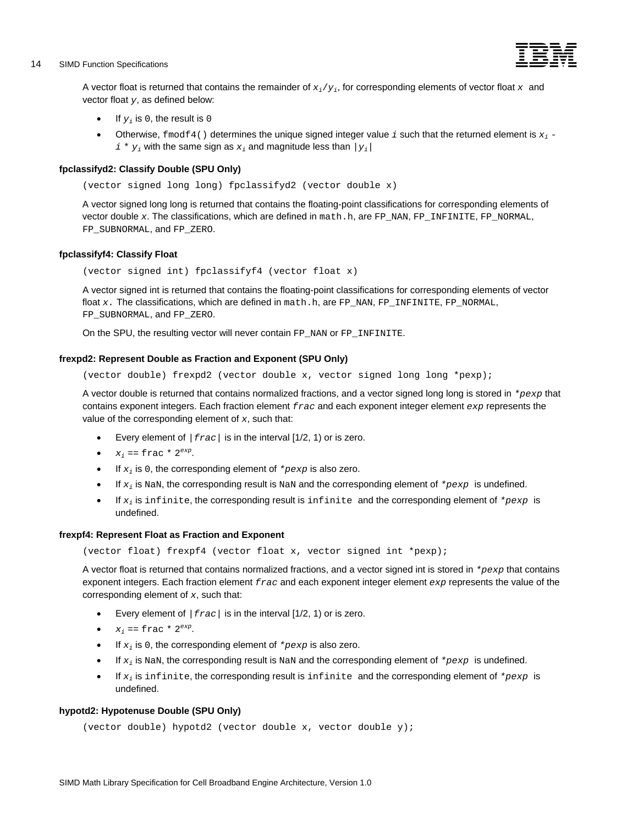# <span id="page-21-0"></span>14 SIMD Function Specifications -



A vector float is returned that contains the remainder of *xi*/*yi*, for corresponding elements of vector float *x* and vector float *y*, as defined below:

- If  $y_i$  is 0, the result is 0
- Otherwise,  $f_{mod}f_{4}$  () determines the unique signed integer value *i* such that the returned element is  $x_{i}$   $i * y_i$  with the same sign as  $x_i$  and magnitude less than  $|y_i|$

# **fpclassifyd2: Classify Double (SPU Only)**

(vector signed long long) fpclassifyd2 (vector double x)

A vector signed long long is returned that contains the floating-point classifications for corresponding elements of vector double x. The classifications, which are defined in math.h, are FP\_NAN, FP\_INFINITE, FP\_NORMAL, FP\_SUBNORMAL, and FP\_ZERO.

# **fpclassifyf4: Classify Float**

(vector signed int) fpclassifyf4 (vector float x)

A vector signed int is returned that contains the floating-point classifications for corresponding elements of vector float x. The classifications, which are defined in math.h, are FP\_NAN, FP\_INFINITE, FP\_NORMAL, FP\_SUBNORMAL, and FP\_ZERO.

On the SPU, the resulting vector will never contain FP\_NAN or FP\_INFINITE.

# **frexpd2: Represent Double as Fraction and Exponent (SPU Only)**

(vector double) frexpd2 (vector double x, vector signed long long \*pexp);

A vector double is returned that contains normalized fractions, and a vector signed long long is stored in *\*pexp* that contains exponent integers. Each fraction element *frac* and each exponent integer element *exp* represents the value of the corresponding element of *x*, such that:

- Every element of *|frac|* is in the interval [1/2, 1) or is zero.
- $x_i = \text{frac} * 2^{\text{exp}}$ .
- If  $x_i$  is 0, the corresponding element of  $*_{p \in x}$  is also zero.
- $\bullet$  If  $x_i$  is NaN, the corresponding result is NaN and the corresponding element of  $*_{pexp}$  is undefined.
- $\bullet$  If  $x_i$  is infinite, the corresponding result is infinite and the corresponding element of  $*_{pexp}$  is undefined.

## **frexpf4: Represent Float as Fraction and Exponent**

(vector float) frexpf4 (vector float x, vector signed int \*pexp);

A vector float is returned that contains normalized fractions, and a vector signed int is stored in *\*pexp* that contains exponent integers. Each fraction element *frac* and each exponent integer element *exp* represents the value of the corresponding element of *x*, such that:

- Every element of *|frac|* is in the interval [1/2, 1) or is zero.
- $x_i = \text{frac} * 2^{\text{exp}}$ .
- If  $x_i$  is 0, the corresponding element of  $*_{p \in x}$  is also zero.
- $\bullet$  If  $x_i$  is NaN, the corresponding result is NaN and the corresponding element of  $*_{pexp}$  is undefined.
- If *xi* is infinite, the corresponding result is infinite and the corresponding element of *\*pexp* is undefined.

# **hypotd2: Hypotenuse Double (SPU Only)**

```
(vector double) hypotd2 (vector double x, vector double y);
```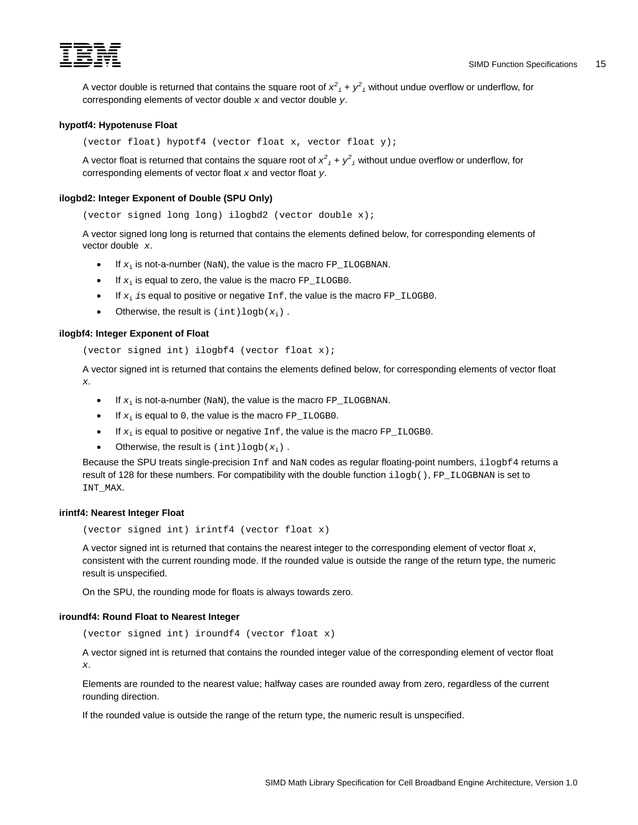<span id="page-22-0"></span>

A vector double is returned that contains the square root of  $x^2{}_i + y^2{}_i$  without undue overflow or underflow, for corresponding elements of vector double *x* and vector double *y*.

# **hypotf4: Hypotenuse Float**

(vector float) hypotf4 (vector float x, vector float y);

A vector float is returned that contains the square root of  $x^2{}_i + y^2{}_i$  without undue overflow or underflow, for corresponding elements of vector float *x* and vector float *y*.

# **ilogbd2: Integer Exponent of Double (SPU Only)**

(vector signed long long) ilogbd2 (vector double x);

A vector signed long long is returned that contains the elements defined below, for corresponding elements of vector double *x*.

- If  $x_i$  is not-a-number (NaN), the value is the macro  $FP\_ILOGBNAN$ .
- If  $x_i$  is equal to zero, the value is the macro  $FP\_ILOGBO$ .
- If  $x_i$  *i*s equal to positive or negative Inf, the value is the macro FP\_ILOGB0.
- Otherwise, the result is  $(int)logb(x_i)$ .

# **ilogbf4: Integer Exponent of Float**

```
(vector signed int) ilogbf4 (vector float x);
```
A vector signed int is returned that contains the elements defined below, for corresponding elements of vector float *x*.

- If  $x_i$  is not-a-number (NaN), the value is the macro  $FP\_ILOGBNAN$ .
- If  $x_i$  is equal to 0, the value is the macro  $FP\_ILOGBO$ .
- If  $x_i$  is equal to positive or negative  $Inf$ , the value is the macro  $FP$  ILOGB0.
- Otherwise, the result is  $(int)logb(x_i)$ .

Because the SPU treats single-precision Inf and NaN codes as regular floating-point numbers, ilogbf4 returns a result of 128 for these numbers. For compatibility with the double function ilogb(), FP\_ILOGBNAN is set to INT\_MAX.

## **irintf4: Nearest Integer Float**

(vector signed int) irintf4 (vector float x)

A vector signed int is returned that contains the nearest integer to the corresponding element of vector float *x*, consistent with the current rounding mode. If the rounded value is outside the range of the return type, the numeric result is unspecified.

On the SPU, the rounding mode for floats is always towards zero.

# **iroundf4: Round Float to Nearest Integer**

(vector signed int) iroundf4 (vector float x)

A vector signed int is returned that contains the rounded integer value of the corresponding element of vector float *x*.

Elements are rounded to the nearest value; halfway cases are rounded away from zero, regardless of the current rounding direction.

If the rounded value is outside the range of the return type, the numeric result is unspecified.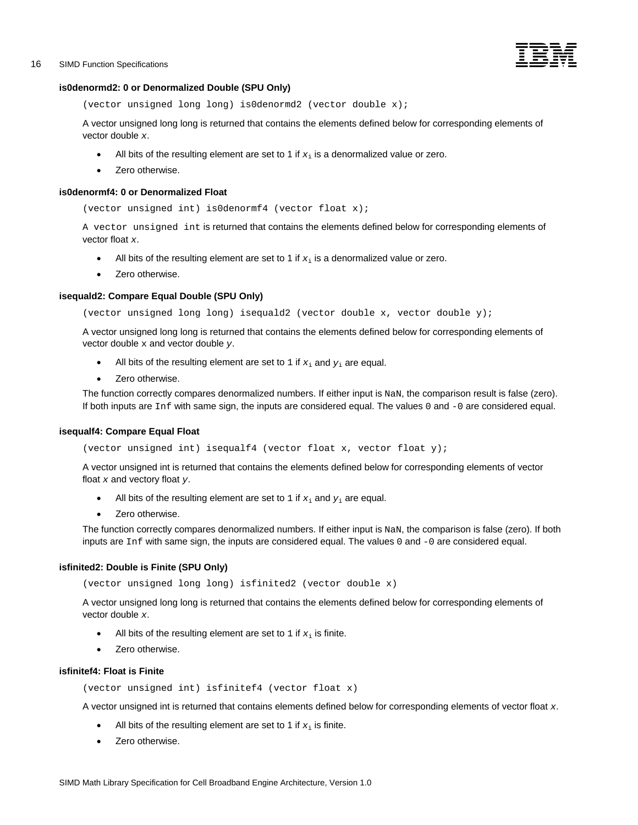

# <span id="page-23-0"></span>**is0denormd2: 0 or Denormalized Double (SPU Only)**

```
(vector unsigned long long) is0denormd2 (vector double x);
```
A vector unsigned long long is returned that contains the elements defined below for corresponding elements of vector double *x*.

- All bits of the resulting element are set to 1 if  $x_i$  is a denormalized value or zero.
- Zero otherwise.

# **is0denormf4: 0 or Denormalized Float**

(vector unsigned int) is0denormf4 (vector float x);

A vector unsigned int is returned that contains the elements defined below for corresponding elements of vector float *x*.

- All bits of the resulting element are set to 1 if  $x_i$  is a denormalized value or zero.
- Zero otherwise.

# **isequald2: Compare Equal Double (SPU Only)**

(vector unsigned long long) isequald2 (vector double x, vector double y);

A vector unsigned long long is returned that contains the elements defined below for corresponding elements of vector double x and vector double *y*.

- All bits of the resulting element are set to  $1$  if  $x_i$  and  $y_i$  are equal.
- Zero otherwise.

The function correctly compares denormalized numbers. If either input is NaN, the comparison result is false (zero). If both inputs are Inf with same sign, the inputs are considered equal. The values 0 and -0 are considered equal.

## **isequalf4: Compare Equal Float**

(vector unsigned int) isequalf4 (vector float x, vector float y);

A vector unsigned int is returned that contains the elements defined below for corresponding elements of vector float *x* and vectory float *y*.

- All bits of the resulting element are set to  $1$  if  $x_i$  and  $y_i$  are equal.
- Zero otherwise.

The function correctly compares denormalized numbers. If either input is NaN, the comparison is false (zero). If both inputs are Inf with same sign, the inputs are considered equal. The values 0 and -0 are considered equal.

# **isfinited2: Double is Finite (SPU Only)**

(vector unsigned long long) isfinited2 (vector double x)

A vector unsigned long long is returned that contains the elements defined below for corresponding elements of vector double *x*.

- All bits of the resulting element are set to  $1$  if  $x_i$  is finite.
- Zero otherwise.

# **isfinitef4: Float is Finite**

```
(vector unsigned int) isfinitef4 (vector float x)
```
A vector unsigned int is returned that contains elements defined below for corresponding elements of vector float *x*.

- All bits of the resulting element are set to 1 if  $x_i$  is finite.
- Zero otherwise.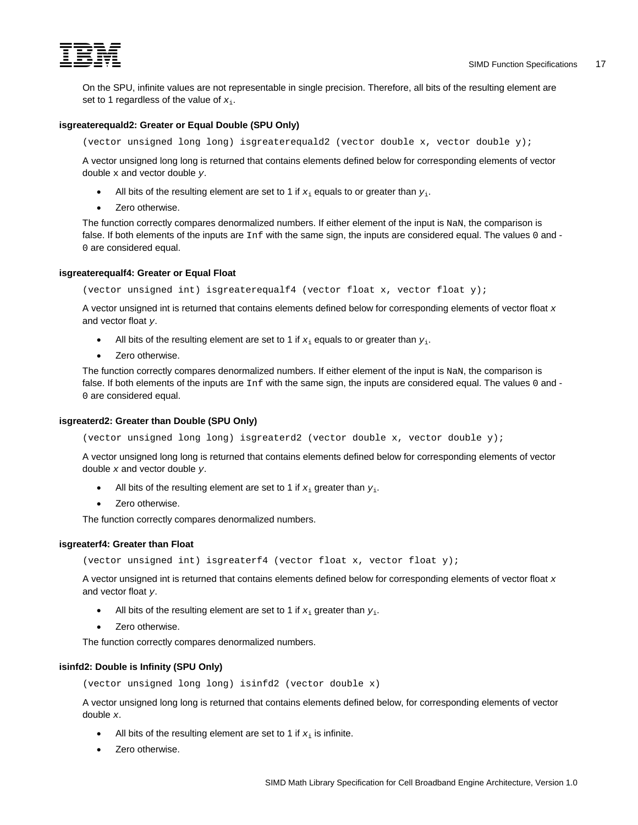<span id="page-24-0"></span>

On the SPU, infinite values are not representable in single precision. Therefore, all bits of the resulting element are set to 1 regardless of the value of *x*i.

# **isgreaterequald2: Greater or Equal Double (SPU Only)**

(vector unsigned long long) isgreaterequald2 (vector double x, vector double y);

A vector unsigned long long is returned that contains elements defined below for corresponding elements of vector double x and vector double *y*.

- All bits of the resulting element are set to 1 if  $x_i$  equals to or greater than  $y_i$ .
- Zero otherwise.

The function correctly compares denormalized numbers. If either element of the input is NaN, the comparison is false. If both elements of the inputs are  $Inf$  with the same sign, the inputs are considered equal. The values 0 and -0 are considered equal.

# **isgreaterequalf4: Greater or Equal Float**

(vector unsigned int) isgreaterequalf4 (vector float x, vector float y);

A vector unsigned int is returned that contains elements defined below for corresponding elements of vector float *x* and vector float *y*.

- All bits of the resulting element are set to 1 if  $x_i$  equals to or greater than  $y_i$ .
- Zero otherwise.

The function correctly compares denormalized numbers. If either element of the input is NaN, the comparison is false. If both elements of the inputs are  $Inf$  with the same sign, the inputs are considered equal. The values 0 and -0 are considered equal.

#### **isgreaterd2: Greater than Double (SPU Only)**

(vector unsigned long long) isgreaterd2 (vector double x, vector double y);

A vector unsigned long long is returned that contains elements defined below for corresponding elements of vector double *x* and vector double *y*.

- All bits of the resulting element are set to 1 if  $x_i$  greater than  $y_i$ .
- Zero otherwise.

The function correctly compares denormalized numbers.

# **isgreaterf4: Greater than Float**

(vector unsigned int) isgreaterf4 (vector float x, vector float y);

A vector unsigned int is returned that contains elements defined below for corresponding elements of vector float *x* and vector float *y*.

- All bits of the resulting element are set to 1 if  $x_i$  greater than  $y_i$ .
- Zero otherwise.

The function correctly compares denormalized numbers.

# **isinfd2: Double is Infinity (SPU Only)**

(vector unsigned long long) isinfd2 (vector double x)

A vector unsigned long long is returned that contains elements defined below, for corresponding elements of vector double *x*.

- All bits of the resulting element are set to 1 if  $x_i$  is infinite.
- Zero otherwise.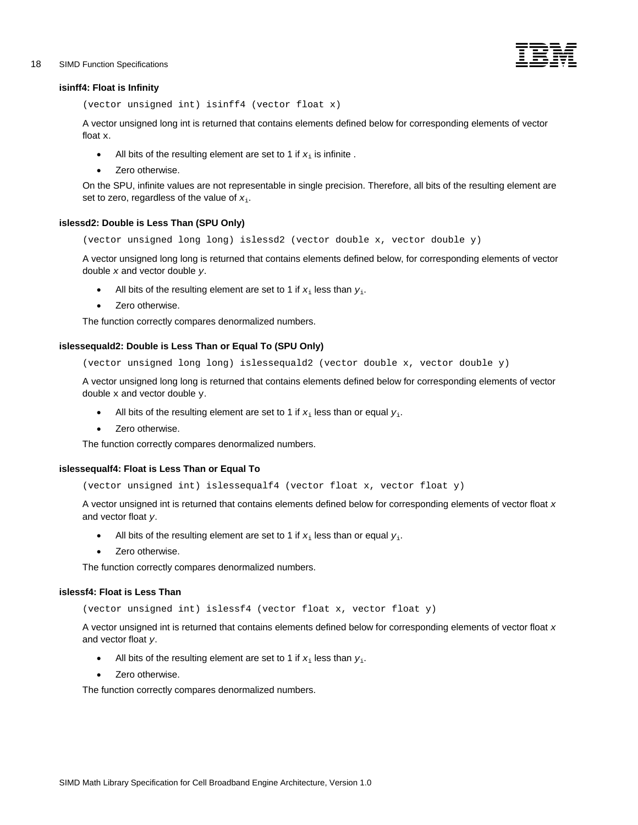# <span id="page-25-0"></span>18 SIMD Function Specifications -



#### **isinff4: Float is Infinity**

(vector unsigned int) isinff4 (vector float x)

A vector unsigned long int is returned that contains elements defined below for corresponding elements of vector float x.

- All bits of the resulting element are set to 1 if  $x_i$  is infinite.
- Zero otherwise.

On the SPU, infinite values are not representable in single precision. Therefore, all bits of the resulting element are set to zero, regardless of the value of *x*i.

# **islessd2: Double is Less Than (SPU Only)**

(vector unsigned long long) islessd2 (vector double x, vector double y)

A vector unsigned long long is returned that contains elements defined below, for corresponding elements of vector double *x* and vector double *y*.

- All bits of the resulting element are set to 1 if  $x_i$  less than  $y_i$ .
- Zero otherwise.

The function correctly compares denormalized numbers.

# **islessequald2: Double is Less Than or Equal To (SPU Only)**

(vector unsigned long long) islessequald2 (vector double x, vector double y)

A vector unsigned long long is returned that contains elements defined below for corresponding elements of vector double  $x$  and vector double  $y$ .

- All bits of the resulting element are set to 1 if  $x_i$  less than or equal  $y_i$ .
- Zero otherwise.

The function correctly compares denormalized numbers.

## **islessequalf4: Float is Less Than or Equal To**

(vector unsigned int) islessequalf4 (vector float x, vector float y)

A vector unsigned int is returned that contains elements defined below for corresponding elements of vector float *x* and vector float *y*.

- All bits of the resulting element are set to 1 if  $x_i$  less than or equal  $y_i$ .
- Zero otherwise.

The function correctly compares denormalized numbers.

## **islessf4: Float is Less Than**

(vector unsigned int) islessf4 (vector float x, vector float y)

A vector unsigned int is returned that contains elements defined below for corresponding elements of vector float *x* and vector float *y*.

- All bits of the resulting element are set to 1 if  $x_i$  less than  $y_i$ .
- Zero otherwise.

The function correctly compares denormalized numbers.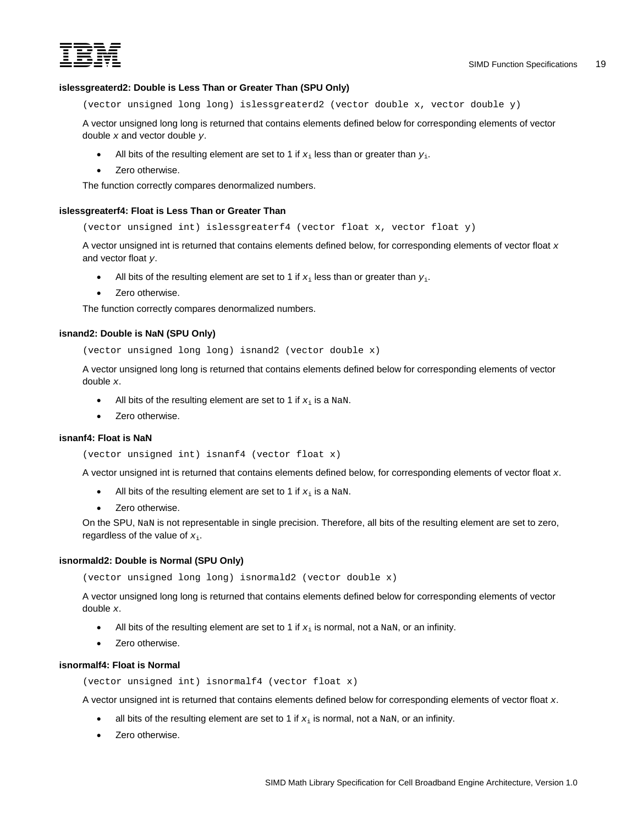<span id="page-26-0"></span>

# **islessgreaterd2: Double is Less Than or Greater Than (SPU Only)**

(vector unsigned long long) islessgreaterd2 (vector double x, vector double y)

A vector unsigned long long is returned that contains elements defined below for corresponding elements of vector double *x* and vector double *y*.

- All bits of the resulting element are set to 1 if  $x_i$  less than or greater than  $y_i$ .
- Zero otherwise.

The function correctly compares denormalized numbers.

## **islessgreaterf4: Float is Less Than or Greater Than**

(vector unsigned int) islessgreaterf4 (vector float x, vector float y)

A vector unsigned int is returned that contains elements defined below, for corresponding elements of vector float *x* and vector float *y*.

- All bits of the resulting element are set to 1 if  $x_i$  less than or greater than  $y_i$ .
- Zero otherwise.

The function correctly compares denormalized numbers.

# **isnand2: Double is NaN (SPU Only)**

(vector unsigned long long) isnand2 (vector double x)

A vector unsigned long long is returned that contains elements defined below for corresponding elements of vector double *x*.

- All bits of the resulting element are set to 1 if  $x_i$  is a NaN.
- Zero otherwise.

#### **isnanf4: Float is NaN**

```
(vector unsigned int) isnanf4 (vector float x)
```
A vector unsigned int is returned that contains elements defined below, for corresponding elements of vector float *x*.

- All bits of the resulting element are set to 1 if  $x_i$  is a NaN.
- Zero otherwise.

On the SPU, NaN is not representable in single precision. Therefore, all bits of the resulting element are set to zero, regardless of the value of  $x_i$ .

#### **isnormald2: Double is Normal (SPU Only)**

(vector unsigned long long) isnormald2 (vector double x)

A vector unsigned long long is returned that contains elements defined below for corresponding elements of vector double *x*.

- All bits of the resulting element are set to 1 if  $x_i$  is normal, not a NaN, or an infinity.
- Zero otherwise.

# **isnormalf4: Float is Normal**

(vector unsigned int) isnormalf4 (vector float x)

A vector unsigned int is returned that contains elements defined below for corresponding elements of vector float *x*.

- all bits of the resulting element are set to 1 if  $x_i$  is normal, not a NaN, or an infinity.
- Zero otherwise.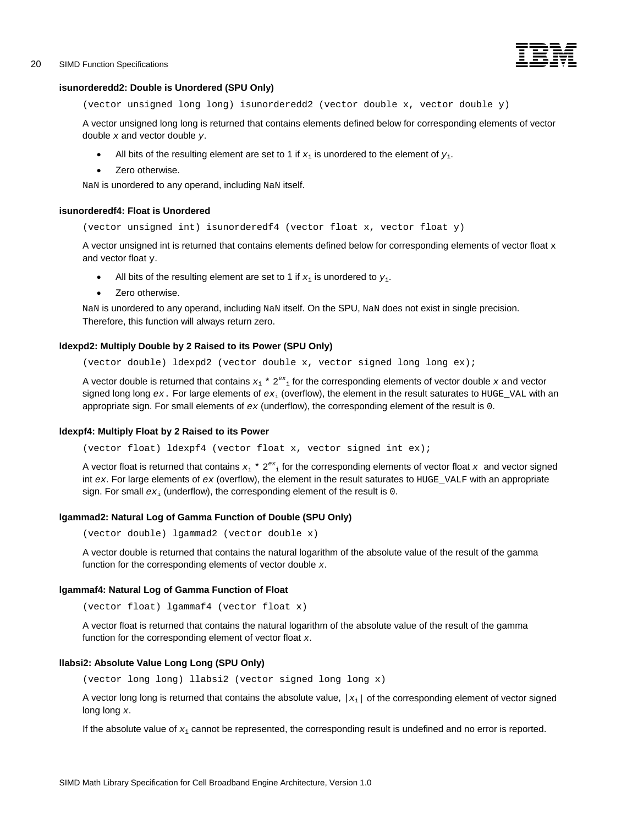

# <span id="page-27-0"></span>**isunorderedd2: Double is Unordered (SPU Only)**

(vector unsigned long long) isunorderedd2 (vector double x, vector double y)

A vector unsigned long long is returned that contains elements defined below for corresponding elements of vector double *x* and vector double *y*.

- All bits of the resulting element are set to 1 if  $x_i$  is unordered to the element of  $y_i$ .
- Zero otherwise.

NaN is unordered to any operand, including NaN itself.

## **isunorderedf4: Float is Unordered**

(vector unsigned int) isunorderedf4 (vector float x, vector float y)

A vector unsigned int is returned that contains elements defined below for corresponding elements of vector float  $x$ and vector float y.

- All bits of the resulting element are set to 1 if  $x_i$  is unordered to  $y_i$ .
- Zero otherwise.

NaN is unordered to any operand, including NaN itself. On the SPU, NaN does not exist in single precision. Therefore, this function will always return zero.

#### **ldexpd2: Multiply Double by 2 Raised to its Power (SPU Only)**

(vector double) ldexpd2 (vector double x, vector signed long long ex);

A vector double is returned that contains  $x_i * 2^{ex_i}$  for the corresponding elements of vector double x and vector signed long long *ex*. For large elements of *ex*i (overflow), the element in the result saturates to HUGE\_VAL with an appropriate sign. For small elements of *ex* (underflow), the corresponding element of the result is 0.

#### **ldexpf4: Multiply Float by 2 Raised to its Power**

(vector float) ldexpf4 (vector float x, vector signed int ex);

A vector float is returned that contains  $x_i * 2^{ex_i}$  for the corresponding elements of vector float x and vector signed int *ex*. For large elements of *ex* (overflow), the element in the result saturates to HUGE\_VALF with an appropriate sign. For small  $ex_i$  (underflow), the corresponding element of the result is 0.

### **lgammad2: Natural Log of Gamma Function of Double (SPU Only)**

(vector double) lgammad2 (vector double x)

A vector double is returned that contains the natural logarithm of the absolute value of the result of the gamma function for the corresponding elements of vector double *x*.

#### **lgammaf4: Natural Log of Gamma Function of Float**

(vector float) lgammaf4 (vector float x)

A vector float is returned that contains the natural logarithm of the absolute value of the result of the gamma function for the corresponding element of vector float *x*.

## **llabsi2: Absolute Value Long Long (SPU Only)**

(vector long long) llabsi2 (vector signed long long x)

A vector long long is returned that contains the absolute value, *|x*i*|* of the corresponding element of vector signed long long *x*.

If the absolute value of  $x_i$  cannot be represented, the corresponding result is undefined and no error is reported.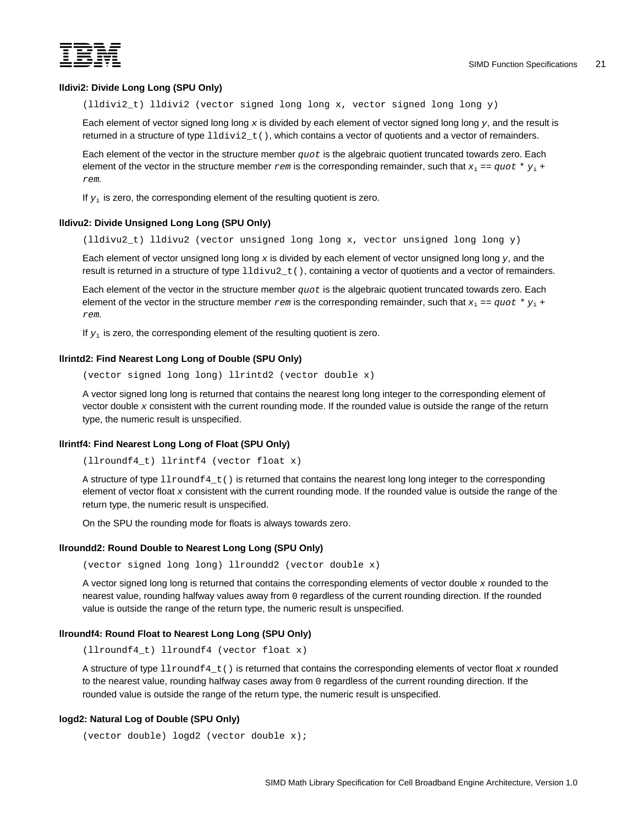<span id="page-28-0"></span>

# **lldivi2: Divide Long Long (SPU Only)**

(lldivi2\_t) lldivi2 (vector signed long long x, vector signed long long y)

Each element of vector signed long long *x* is divided by each element of vector signed long long *y*, and the result is returned in a structure of type  $11divi2_t()$ , which contains a vector of quotients and a vector of remainders.

Each element of the vector in the structure member *quot* is the algebraic quotient truncated towards zero. Each element of the vector in the structure member  $rem$  is the corresponding remainder, such that  $x_i = q u \circ t * y_i + q u$ *rem.*

If  $y_i$  is zero, the corresponding element of the resulting quotient is zero.

# **lldivu2: Divide Unsigned Long Long (SPU Only)**

(lldivu2\_t) lldivu2 (vector unsigned long long x, vector unsigned long long y)

Each element of vector unsigned long long *x* is divided by each element of vector unsigned long long *y*, and the result is returned in a structure of type  $11\text{div}u2_t$ , containing a vector of quotients and a vector of remainders.

Each element of the vector in the structure member *quot* is the algebraic quotient truncated towards zero. Each element of the vector in the structure member  $r$ em is the corresponding remainder, such that  $x_i = q u \circ t * y_i + q u$ *rem.* 

If  $y_i$  is zero, the corresponding element of the resulting quotient is zero.

# **llrintd2: Find Nearest Long Long of Double (SPU Only)**

(vector signed long long) llrintd2 (vector double x)

A vector signed long long is returned that contains the nearest long long integer to the corresponding element of vector double *x* consistent with the current rounding mode. If the rounded value is outside the range of the return type, the numeric result is unspecified.

#### **llrintf4: Find Nearest Long Long of Float (SPU Only)**

(llroundf4\_t) llrintf4 (vector float x)

A structure of type llroundf4\_t() is returned that contains the nearest long long integer to the corresponding element of vector float *x* consistent with the current rounding mode. If the rounded value is outside the range of the return type, the numeric result is unspecified.

On the SPU the rounding mode for floats is always towards zero.

#### **llroundd2: Round Double to Nearest Long Long (SPU Only)**

(vector signed long long) llroundd2 (vector double x)

A vector signed long long is returned that contains the corresponding elements of vector double *x* rounded to the nearest value, rounding halfway values away from 0 regardless of the current rounding direction. If the rounded value is outside the range of the return type, the numeric result is unspecified.

### **llroundf4: Round Float to Nearest Long Long (SPU Only)**

(llroundf4\_t) llroundf4 (vector float x)

A structure of type llroundf4\_t() is returned that contains the corresponding elements of vector float *x* rounded to the nearest value, rounding halfway cases away from 0 regardless of the current rounding direction. If the rounded value is outside the range of the return type, the numeric result is unspecified.

#### **logd2: Natural Log of Double (SPU Only)**

```
(vector double) logd2 (vector double x);
```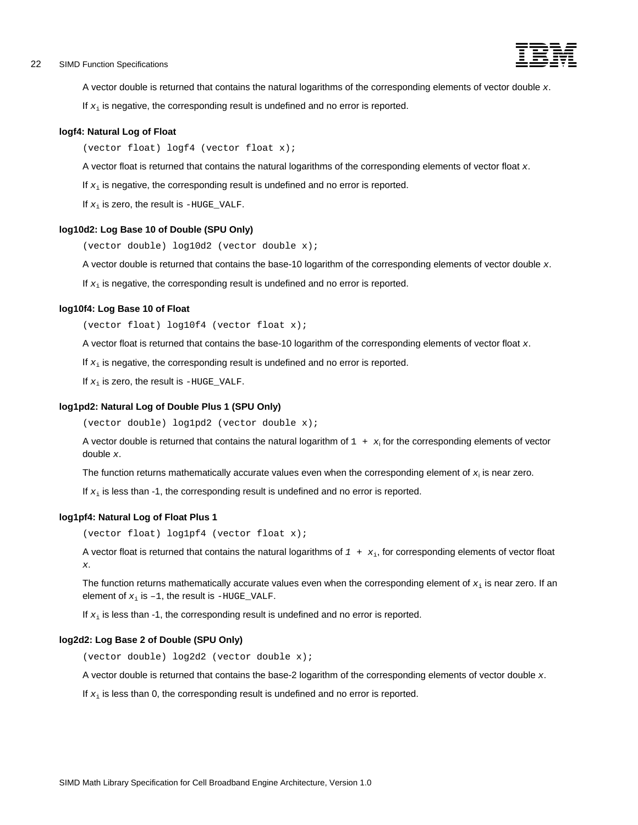# <span id="page-29-0"></span>example of the SIMD Function Specifications - the Control of the Control of the Control of the Control of the Control of the Control of the Control of the Control of the Control of the Control of the Control of the Control



A vector double is returned that contains the natural logarithms of the corresponding elements of vector double *x*.

If  $x_i$  is negative, the corresponding result is undefined and no error is reported.

#### **logf4: Natural Log of Float**

(vector float) logf4 (vector float x);

A vector float is returned that contains the natural logarithms of the corresponding elements of vector float *x*.

If  $x_i$  is negative, the corresponding result is undefined and no error is reported.

If *x*i is zero, the result is *-*HUGE\_VALF.

#### **log10d2: Log Base 10 of Double (SPU Only)**

(vector double) log10d2 (vector double x);

A vector double is returned that contains the base-10 logarithm of the corresponding elements of vector double *x*.

If  $x_i$  is negative, the corresponding result is undefined and no error is reported.

# **log10f4: Log Base 10 of Float**

(vector float) log10f4 (vector float x);

A vector float is returned that contains the base-10 logarithm of the corresponding elements of vector float *x*.

If  $x_i$  is negative, the corresponding result is undefined and no error is reported.

If *x*i is zero, the result is *-*HUGE\_VALF.

#### **log1pd2: Natural Log of Double Plus 1 (SPU Only)**

(vector double) log1pd2 (vector double x);

A vector double is returned that contains the natural logarithm of  $1 + x_i$  for the corresponding elements of vector double *x*.

The function returns mathematically accurate values even when the corresponding element of *x*<sup>i</sup> is near zero.

If  $x_i$  is less than -1, the corresponding result is undefined and no error is reported.

# **log1pf4: Natural Log of Float Plus 1**

(vector float) log1pf4 (vector float x);

A vector float is returned that contains the natural logarithms of *1 + x*i, for corresponding elements of vector float *x*.

The function returns mathematically accurate values even when the corresponding element of *x*i is near zero. If an element of  $x_i$  is  $-1$ , the result is  $-HUGE_VALF$ .

If  $x_i$  is less than -1, the corresponding result is undefined and no error is reported.

#### **log2d2: Log Base 2 of Double (SPU Only)**

(vector double) log2d2 (vector double x);

A vector double is returned that contains the base-2 logarithm of the corresponding elements of vector double *x*.

If  $x_i$  is less than 0, the corresponding result is undefined and no error is reported.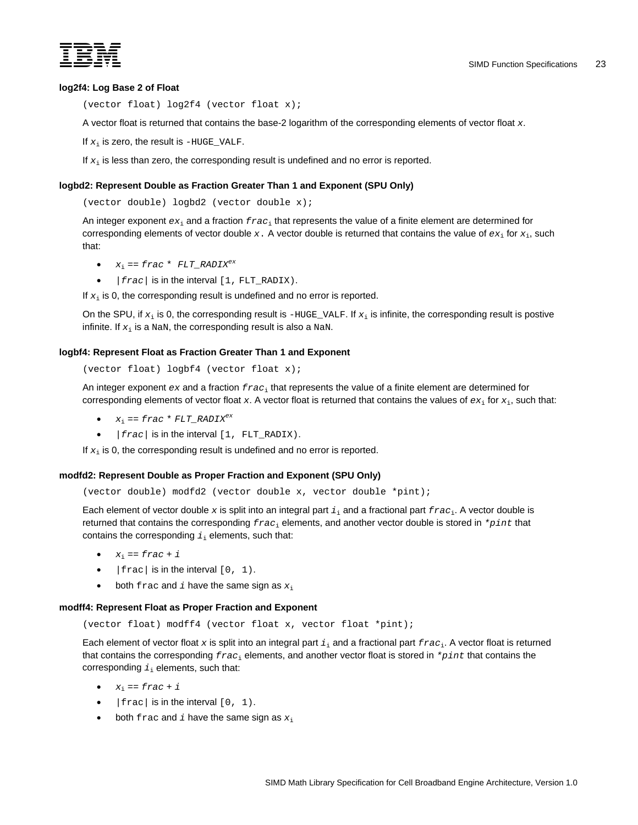<span id="page-30-0"></span>

## **log2f4: Log Base 2 of Float**

(vector float) log2f4 (vector float x);

A vector float is returned that contains the base-2 logarithm of the corresponding elements of vector float *x*.

If  $x_i$  is zero, the result is  $-H \cup \text{GE\_VALF}$ .

If  $x_i$  is less than zero, the corresponding result is undefined and no error is reported.

#### **logbd2: Represent Double as Fraction Greater Than 1 and Exponent (SPU Only)**

(vector double) logbd2 (vector double x);

An integer exponent *ex*i and a fraction *frac*i that represents the value of a finite element are determined for corresponding elements of vector double  $x$ . A vector double is returned that contains the value of  $ex_i$  for  $x_i$ , such that:

- $x_i = frac*FLT_RADIX^{ex}$
- *|frac|* is in the interval [1, FLT\_RADIX).

If  $x_i$  is 0, the corresponding result is undefined and no error is reported.

On the SPU, if  $x_i$  is 0, the corresponding result is  $-HUGE_YALF$ . If  $x_i$  is infinite, the corresponding result is postive infinite. If  $x_i$  is a NaN, the corresponding result is also a NaN.

# **logbf4: Represent Float as Fraction Greater Than 1 and Exponent**

```
(vector float) logbf4 (vector float x);
```
An integer exponent *ex* and a fraction *frac*i that represents the value of a finite element are determined for corresponding elements of vector float  $x$ . A vector float is returned that contains the values of  $ex_i$  for  $x_i$ , such that:

- $x_i = frac*FLT_RADIX<sup>ex</sup>$
- *|frac|* is in the interval [1, FLT\_RADIX).

If  $x_i$  is 0, the corresponding result is undefined and no error is reported.

#### **modfd2: Represent Double as Proper Fraction and Exponent (SPU Only)**

```
(vector double) modfd2 (vector double x, vector double *pint);
```
Each element of vector double *x* is split into an integral part *i*i and a fractional part *frac*i. A vector double is returned that contains the corresponding *frac*i elements, and another vector double is stored in *\*pint* that contains the corresponding  $i_i$  elements, such that:

- $x_i = \text{frac} + i$
- $|frac|$  is in the interval  $[0, 1)$ .
- both frac and *i* have the same sign as  $x_i$

### **modff4: Represent Float as Proper Fraction and Exponent**

(vector float) modff4 (vector float x, vector float \*pint);

Each element of vector float x is split into an integral part  $i_j$  and a fractional part  $frac_i$ , A vector float is returned that contains the corresponding *frac*i elements, and another vector float is stored in *\*pint* that contains the corresponding  $i_i$  elements, such that:

- $x_i = \text{frac} + i$
- $|frac|$  is in the interval  $[0, 1)$ .
- both frac and *i* have the same sign as  $x_i$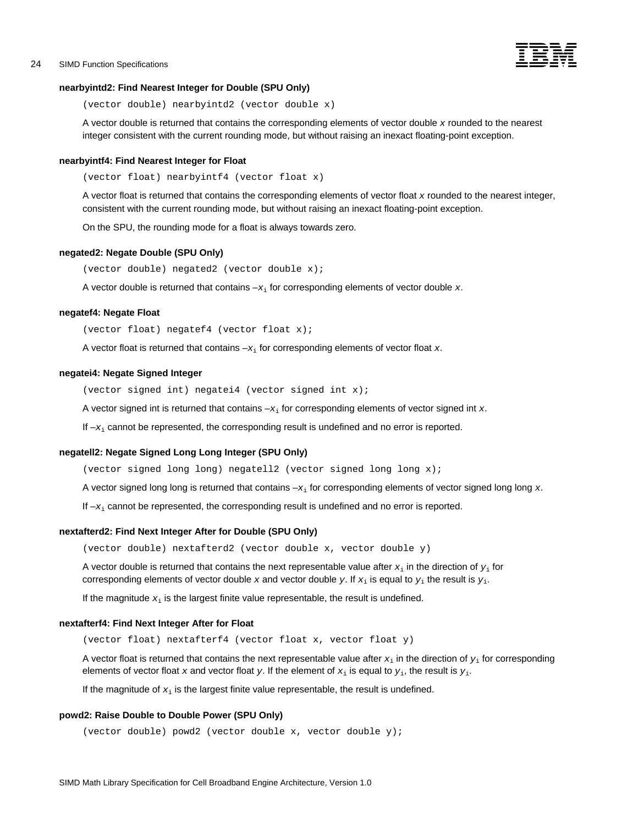

# <span id="page-31-0"></span>**nearbyintd2: Find Nearest Integer for Double (SPU Only)**

```
(vector double) nearbyintd2 (vector double x)
```
A vector double is returned that contains the corresponding elements of vector double *x* rounded to the nearest integer consistent with the current rounding mode, but without raising an inexact floating-point exception.

#### **nearbyintf4: Find Nearest Integer for Float**

(vector float) nearbyintf4 (vector float x)

A vector float is returned that contains the corresponding elements of vector float *x* rounded to the nearest integer, consistent with the current rounding mode, but without raising an inexact floating-point exception.

On the SPU, the rounding mode for a float is always towards zero.

#### **negated2: Negate Double (SPU Only)**

(vector double) negated2 (vector double x);

A vector double is returned that contains –*x*<sup>i</sup> for corresponding elements of vector double *x*.

#### **negatef4: Negate Float**

(vector float) negatef4 (vector float x);

A vector float is returned that contains –*x*<sup>i</sup> for corresponding elements of vector float *x*.

#### **negatei4: Negate Signed Integer**

(vector signed int) negatei4 (vector signed int x);

A vector signed int is returned that contains –*x*<sup>i</sup> for corresponding elements of vector signed int *x*.

If  $-x_i$  cannot be represented, the corresponding result is undefined and no error is reported.

# **negatell2: Negate Signed Long Long Integer (SPU Only)**

(vector signed long long) negatell2 (vector signed long long  $x$ );

A vector signed long long is returned that contains –*x*<sup>i</sup> for corresponding elements of vector signed long long *x*.

If  $-x<sub>i</sub>$  cannot be represented, the corresponding result is undefined and no error is reported.

## **nextafterd2: Find Next Integer After for Double (SPU Only)**

(vector double) nextafterd2 (vector double x, vector double y)

A vector double is returned that contains the next representable value after *x*i in the direction of *y*<sup>i</sup> for corresponding elements of vector double x and vector double y. If  $x_i$  is equal to  $y_i$  the result is  $y_i$ .

If the magnitude  $x_i$  is the largest finite value representable, the result is undefined.

#### **nextafterf4: Find Next Integer After for Float**

(vector float) nextafterf4 (vector float x, vector float y)

A vector float is returned that contains the next representable value after  $x_i$  in the direction of  $y_i$  for corresponding elements of vector float x and vector float y. If the element of  $x_i$  is equal to  $y_i$ , the result is  $y_i$ .

If the magnitude of  $x_i$  is the largest finite value representable, the result is undefined.

# **powd2: Raise Double to Double Power (SPU Only)**

(vector double) powd2 (vector double x, vector double y);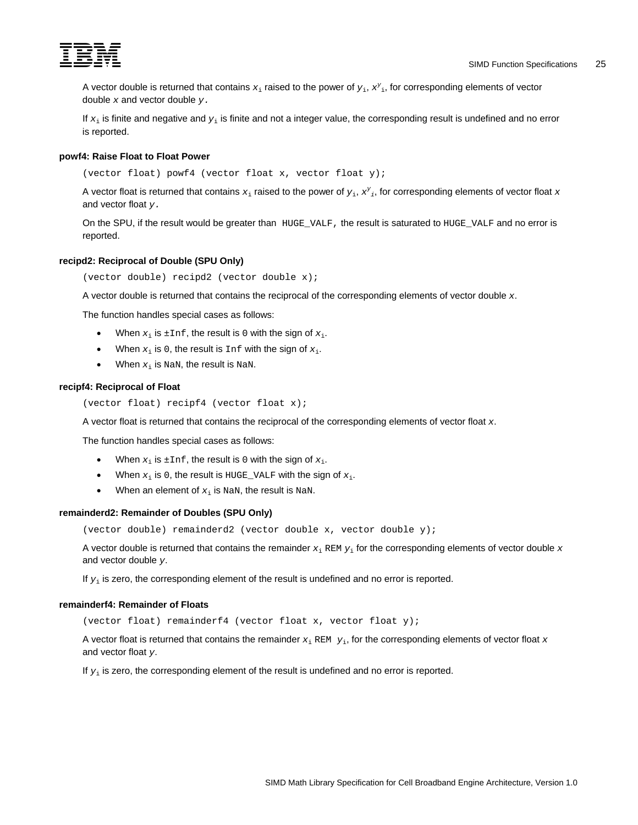<span id="page-32-0"></span>

A vector double is returned that contains *x*i raised to the power of *y*i, *xy* <sup>i</sup>, for corresponding elements of vector double *x* and vector double *y.* 

If  $x_i$  is finite and negative and  $y_i$  is finite and not a integer value, the corresponding result is undefined and no error is reported.

# **powf4: Raise Float to Float Power**

(vector float) powf4 (vector float x, vector float y);

A vector float is returned that contains  $x_i$  raised to the power of  $y_i$ ,  $x^y{}_i$ , for corresponding elements of vector float  $x$ and vector float *y.* 

On the SPU, if the result would be greater than HUGE VALF, the result is saturated to HUGE VALF and no error is reported.

## **recipd2: Reciprocal of Double (SPU Only)**

(vector double) recipd2 (vector double x);

A vector double is returned that contains the reciprocal of the corresponding elements of vector double *x*.

The function handles special cases as follows:

- When  $x_i$  is  $\pm$ Inf, the result is 0 with the sign of  $x_i$ .
- When  $x_i$  is 0, the result is Inf with the sign of  $x_i$ .
- When  $x_i$  is NaN, the result is NaN.

#### **recipf4: Reciprocal of Float**

```
(vector float) recipf4 (vector float x);
```
A vector float is returned that contains the reciprocal of the corresponding elements of vector float *x*.

The function handles special cases as follows:

- When  $x_i$  is  $\pm$ Inf, the result is 0 with the sign of  $x_i$ .
- When  $x_i$  is 0, the result is HUGE\_VALF with the sign of  $x_i$ .
- When an element of  $x_i$  is NaN, the result is NaN.

#### **remainderd2: Remainder of Doubles (SPU Only)**

(vector double) remainderd2 (vector double x, vector double y);

A vector double is returned that contains the remainder *x*<sup>i</sup> REM *y*i for the corresponding elements of vector double *x* and vector double *y*.

If  $y_i$  is zero, the corresponding element of the result is undefined and no error is reported.

# **remainderf4: Remainder of Floats**

(vector float) remainderf4 (vector float x, vector float y);

A vector float is returned that contains the remainder *x*<sup>i</sup> REM *y*i, for the corresponding elements of vector float *x* and vector float *y*.

If  $y_i$  is zero, the corresponding element of the result is undefined and no error is reported.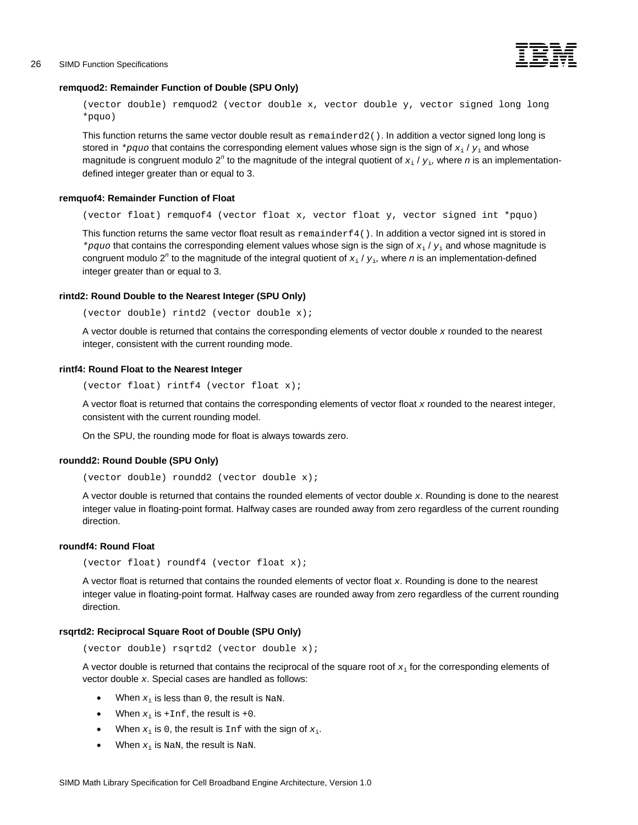

# <span id="page-33-0"></span>**remquod2: Remainder Function of Double (SPU Only)**

(vector double) remquod2 (vector double x, vector double y, vector signed long long \*pquo)

This function returns the same vector double result as remainderd2(). In addition a vector signed long long is stored in *\*pquo* that contains the corresponding element values whose sign is the sign of  $x_i / y_i$  and whose magnitude is congruent modulo 2<sup>n</sup> to the magnitude of the integral quotient of  $x_i$  /  $y_i$ , where *n* is an implementationdefined integer greater than or equal to 3.

#### **remquof4: Remainder Function of Float**

(vector float) remquof4 (vector float x, vector float y, vector signed int \*pquo)

This function returns the same vector float result as  $r$ emainderf4(). In addition a vector signed int is stored in *\*pquo* that contains the corresponding element values whose sign is the sign of *x*<sup>i</sup> / *y*<sup>i</sup> and whose magnitude is congruent modulo 2<sup>n</sup> to the magnitude of the integral quotient of  $x_i$  /  $y_i$ , where *n* is an implementation-defined integer greater than or equal to 3.

#### **rintd2: Round Double to the Nearest Integer (SPU Only)**

(vector double) rintd2 (vector double x);

A vector double is returned that contains the corresponding elements of vector double *x* rounded to the nearest integer, consistent with the current rounding mode.

#### **rintf4: Round Float to the Nearest Integer**

(vector float) rintf4 (vector float x);

A vector float is returned that contains the corresponding elements of vector float *x* rounded to the nearest integer, consistent with the current rounding model.

On the SPU, the rounding mode for float is always towards zero.

#### **roundd2: Round Double (SPU Only)**

(vector double) roundd2 (vector double x);

A vector double is returned that contains the rounded elements of vector double *x*. Rounding is done to the nearest integer value in floating-point format. Halfway cases are rounded away from zero regardless of the current rounding direction.

# **roundf4: Round Float**

(vector float) roundf4 (vector float x);

A vector float is returned that contains the rounded elements of vector float *x*. Rounding is done to the nearest integer value in floating-point format. Halfway cases are rounded away from zero regardless of the current rounding direction.

#### **rsqrtd2: Reciprocal Square Root of Double (SPU Only)**

(vector double) rsqrtd2 (vector double x);

A vector double is returned that contains the reciprocal of the square root of *x*i for the corresponding elements of vector double *x*. Special cases are handled as follows:

- When  $x_i$  is less than 0, the result is NaN.
- When  $x_i$  is  $+Inf$ , the result is  $+0$ .
- When  $x_i$  is 0, the result is  $Inf$  with the sign of  $x_i$ .
- When  $x_i$  is NaN, the result is NaN.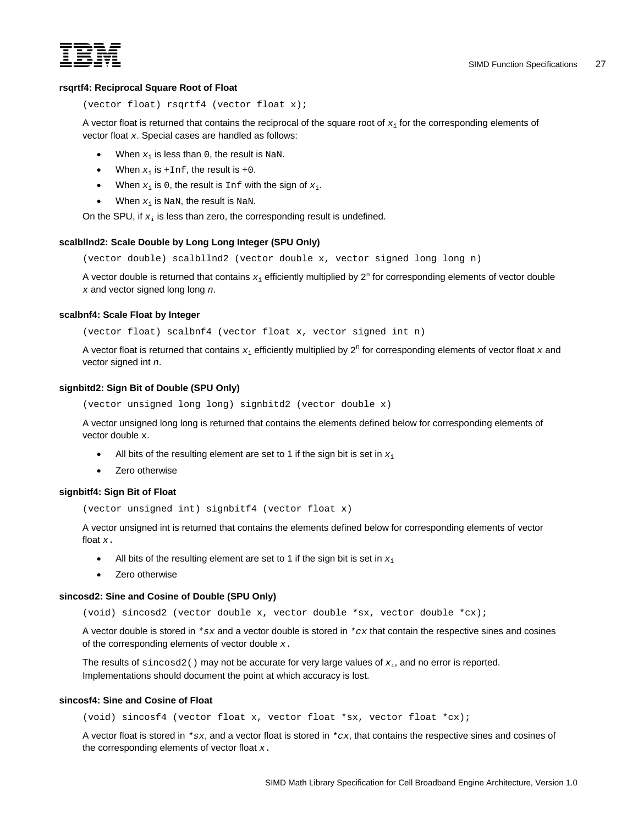<span id="page-34-0"></span>

# **rsqrtf4: Reciprocal Square Root of Float**

```
(vector float) rsqrtf4 (vector float x);
```
A vector float is returned that contains the reciprocal of the square root of *x*i for the corresponding elements of vector float *x*. Special cases are handled as follows:

- When  $x_i$  is less than 0, the result is NaN.
- When  $x_i$  is  $+i$ nf, the result is  $+0$ .
- When  $x_i$  is 0, the result is  $\text{Inf}$  with the sign of  $x_i$ .
- When  $x_i$  is NaN, the result is NaN.

On the SPU, if  $x_i$  is less than zero, the corresponding result is undefined.

# **scalbllnd2: Scale Double by Long Long Integer (SPU Only)**

(vector double) scalbllnd2 (vector double x, vector signed long long n)

A vector double is returned that contains  $x_i$  efficiently multiplied by  $2^n$  for corresponding elements of vector double *x* and vector signed long long *n*.

## **scalbnf4: Scale Float by Integer**

(vector float) scalbnf4 (vector float x, vector signed int n)

A vector float is returned that contains  $x_i$  efficiently multiplied by 2<sup>n</sup> for corresponding elements of vector float x and vector signed int *n*.

# **signbitd2: Sign Bit of Double (SPU Only)**

(vector unsigned long long) signbitd2 (vector double x)

A vector unsigned long long is returned that contains the elements defined below for corresponding elements of vector double x.

- All bits of the resulting element are set to 1 if the sign bit is set in  $x_i$
- Zero otherwise

## **signbitf4: Sign Bit of Float**

(vector unsigned int) signbitf4 (vector float x)

A vector unsigned int is returned that contains the elements defined below for corresponding elements of vector float *x*.

- All bits of the resulting element are set to 1 if the sign bit is set in  $x_i$
- Zero otherwise

## **sincosd2: Sine and Cosine of Double (SPU Only)**

(void) sincosd2 (vector double x, vector double \*sx, vector double \*cx);

A vector double is stored in *\*sx* and a vector double is stored in *\*cx* that contain the respective sines and cosines of the corresponding elements of vector double *x*.

The results of sincosd2() may not be accurate for very large values of *x*i, and no error is reported. Implementations should document the point at which accuracy is lost.

## **sincosf4: Sine and Cosine of Float**

(void) sincosf4 (vector float x, vector float \*sx, vector float \*cx);

A vector float is stored in  $*sx$ , and a vector float is stored in  $*cx$ , that contains the respective sines and cosines of the corresponding elements of vector float *x*.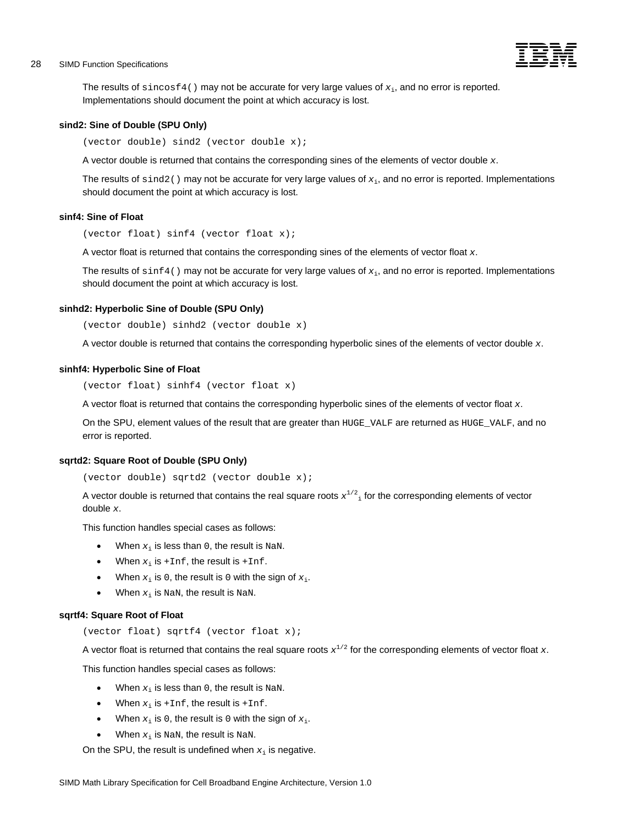# <span id="page-35-0"></span>28 SIMD Function Specifications -



The results of  $\sin \cos 4()$  may not be accurate for very large values of  $x_i$ , and no error is reported. Implementations should document the point at which accuracy is lost.

#### **sind2: Sine of Double (SPU Only)**

(vector double) sind2 (vector double x);

A vector double is returned that contains the corresponding sines of the elements of vector double *x*.

The results of sind2() may not be accurate for very large values of *x*i, and no error is reported. Implementations should document the point at which accuracy is lost.

#### **sinf4: Sine of Float**

(vector float) sinf4 (vector float x);

A vector float is returned that contains the corresponding sines of the elements of vector float *x*.

The results of  $\sin 4$  () may not be accurate for very large values of  $x_i$ , and no error is reported. Implementations should document the point at which accuracy is lost.

#### **sinhd2: Hyperbolic Sine of Double (SPU Only)**

(vector double) sinhd2 (vector double x)

A vector double is returned that contains the corresponding hyperbolic sines of the elements of vector double *x*.

#### **sinhf4: Hyperbolic Sine of Float**

(vector float) sinhf4 (vector float x)

A vector float is returned that contains the corresponding hyperbolic sines of the elements of vector float *x*.

On the SPU, element values of the result that are greater than HUGE\_VALF are returned as HUGE\_VALF, and no error is reported.

#### **sqrtd2: Square Root of Double (SPU Only)**

(vector double) sqrtd2 (vector double x);

A vector double is returned that contains the real square roots  $x^{1/2}$  for the corresponding elements of vector double *x*.

This function handles special cases as follows:

- When  $x_i$  is less than 0, the result is NaN.
- When  $x_i$  is  $+Inf$ , the result is  $+Inf$ .
- When  $x_i$  is 0, the result is 0 with the sign of  $x_i$ .
- When  $x_i$  is NaN, the result is NaN.

#### **sqrtf4: Square Root of Float**

(vector float) sqrtf4 (vector float x);

A vector float is returned that contains the real square roots  $x^{1/2}$  for the corresponding elements of vector float  $x$ .

This function handles special cases as follows:

- When  $x_i$  is less than 0, the result is NaN.
- When  $x_i$  is  $+Inf$ , the result is  $+Inf$ .
- When  $x_i$  is 0, the result is 0 with the sign of  $x_i$ .
- When  $x_i$  is NaN, the result is NaN.

On the SPU, the result is undefined when  $x_i$  is negative.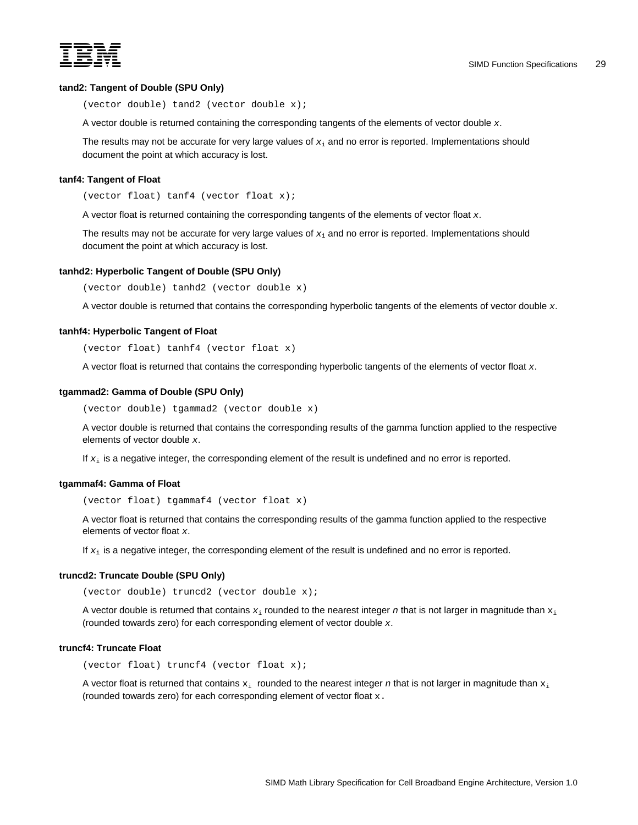<span id="page-36-0"></span>

# **tand2: Tangent of Double (SPU Only)**

(vector double) tand2 (vector double x);

A vector double is returned containing the corresponding tangents of the elements of vector double *x*.

The results may not be accurate for very large values of *x*i and no error is reported. Implementations should document the point at which accuracy is lost.

#### **tanf4: Tangent of Float**

(vector float) tanf4 (vector float x);

A vector float is returned containing the corresponding tangents of the elements of vector float *x*.

The results may not be accurate for very large values of *x*i and no error is reported. Implementations should document the point at which accuracy is lost.

#### **tanhd2: Hyperbolic Tangent of Double (SPU Only)**

(vector double) tanhd2 (vector double x)

A vector double is returned that contains the corresponding hyperbolic tangents of the elements of vector double *x*.

#### **tanhf4: Hyperbolic Tangent of Float**

(vector float) tanhf4 (vector float x)

A vector float is returned that contains the corresponding hyperbolic tangents of the elements of vector float *x*.

#### **tgammad2: Gamma of Double (SPU Only)**

(vector double) tgammad2 (vector double x)

A vector double is returned that contains the corresponding results of the gamma function applied to the respective elements of vector double *x*.

If  $x_i$  is a negative integer, the corresponding element of the result is undefined and no error is reported.

#### **tgammaf4: Gamma of Float**

(vector float) tgammaf4 (vector float x)

A vector float is returned that contains the corresponding results of the gamma function applied to the respective elements of vector float *x*.

If  $x_i$  is a negative integer, the corresponding element of the result is undefined and no error is reported.

#### **truncd2: Truncate Double (SPU Only)**

(vector double) truncd2 (vector double x);

A vector double is returned that contains  $x_i$  rounded to the nearest integer *n* that is not larger in magnitude than  $x_i$ (rounded towards zero) for each corresponding element of vector double *x*.

## **truncf4: Truncate Float**

(vector float) truncf4 (vector float x);

A vector float is returned that contains  $x_i$  rounded to the nearest integer  $n$  that is not larger in magnitude than  $x_i$ (rounded towards zero) for each corresponding element of vector float x.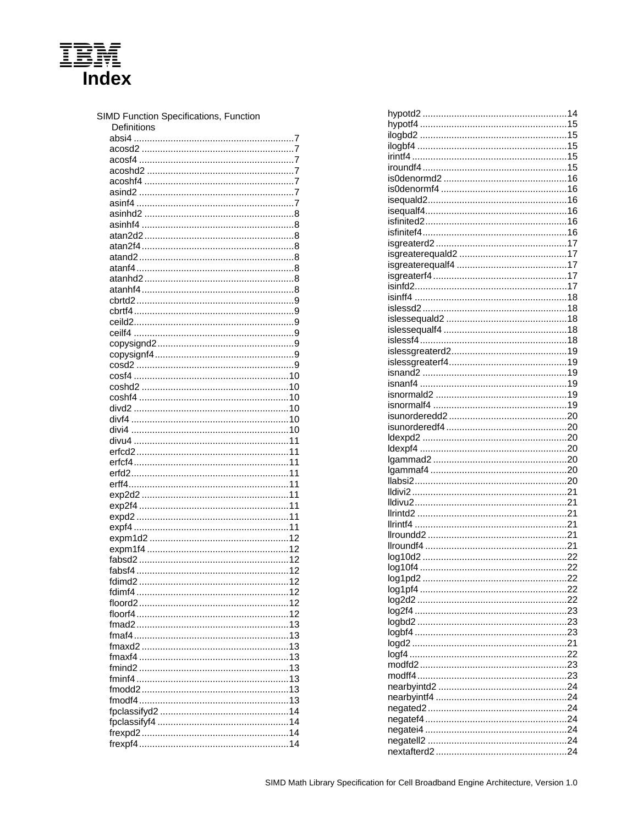<span id="page-38-0"></span>

| SIMD Function Specifications, Function<br>Definitions |  |
|-------------------------------------------------------|--|
|                                                       |  |
|                                                       |  |
|                                                       |  |
|                                                       |  |
|                                                       |  |
|                                                       |  |
|                                                       |  |
|                                                       |  |
|                                                       |  |
|                                                       |  |
|                                                       |  |
|                                                       |  |
|                                                       |  |
|                                                       |  |
|                                                       |  |
|                                                       |  |
|                                                       |  |
|                                                       |  |
|                                                       |  |
|                                                       |  |
|                                                       |  |
|                                                       |  |
|                                                       |  |
|                                                       |  |
|                                                       |  |
|                                                       |  |
|                                                       |  |
|                                                       |  |
|                                                       |  |
|                                                       |  |
|                                                       |  |
|                                                       |  |
|                                                       |  |
|                                                       |  |
|                                                       |  |
|                                                       |  |
|                                                       |  |
|                                                       |  |
|                                                       |  |
|                                                       |  |
|                                                       |  |
|                                                       |  |
|                                                       |  |
|                                                       |  |
|                                                       |  |
|                                                       |  |
|                                                       |  |
|                                                       |  |
|                                                       |  |
|                                                       |  |
|                                                       |  |
|                                                       |  |
|                                                       |  |
|                                                       |  |
|                                                       |  |
|                                                       |  |
|                                                       |  |
|                                                       |  |
|                                                       |  |
|                                                       |  |